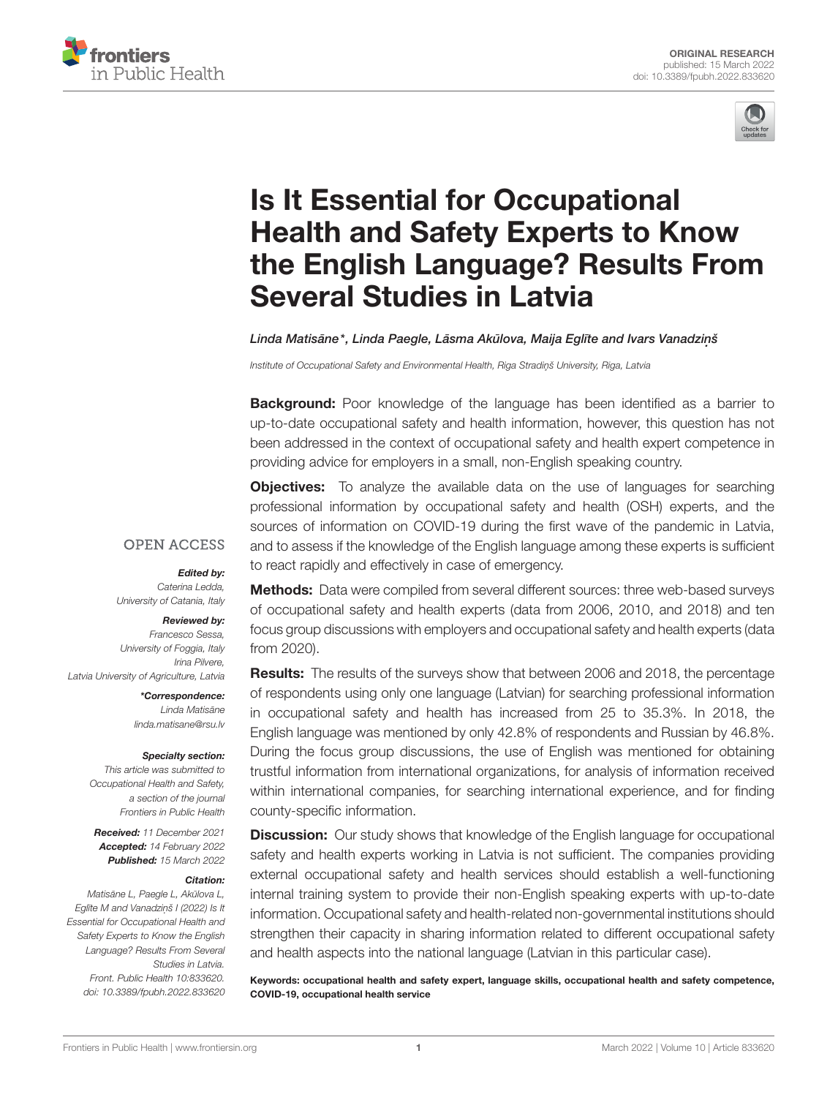



# Is It Essential for Occupational Health and Safety Experts to Know [the English Language? Results From](https://www.frontiersin.org/articles/10.3389/fpubh.2022.833620/full) Several Studies in Latvia

### Linda Matisāne\*, Linda Paegle, Lāsma Akūlova, Maija Eglīte and Ivars Vanadziņš

Institute of Occupational Safety and Environmental Health, Riga Stradins University, Riga, Latvia

**Background:** Poor knowledge of the language has been identified as a barrier to up-to-date occupational safety and health information, however, this question has not been addressed in the context of occupational safety and health expert competence in providing advice for employers in a small, non-English speaking country.

**OPEN ACCESS** 

#### Edited by:

Caterina Ledda, University of Catania, Italy

#### Reviewed by:

Francesco Sessa, University of Foggia, Italy Irina Pilvere, Latvia University of Agriculture, Latvia

> \*Correspondence: Linda Matisāne [linda.matisane@rsu.lv](mailto:linda.matisane@rsu.lv)

#### Specialty section:

This article was submitted to Occupational Health and Safety, a section of the journal Frontiers in Public Health

Received: 11 December 2021 Accepted: 14 February 2022 Published: 15 March 2022

#### Citation:

Matisāne L, Paegle L, Akūlova L, Eglīte M and Vanadziņš I (2022) Is It Essential for Occupational Health and Safety Experts to Know the English Language? Results From Several Studies in Latvia. Front. Public Health 10:833620. doi: [10.3389/fpubh.2022.833620](https://doi.org/10.3389/fpubh.2022.833620) **Objectives:** To analyze the available data on the use of languages for searching professional information by occupational safety and health (OSH) experts, and the sources of information on COVID-19 during the first wave of the pandemic in Latvia, and to assess if the knowledge of the English language among these experts is sufficient to react rapidly and effectively in case of emergency.

Methods: Data were compiled from several different sources: three web-based surveys of occupational safety and health experts (data from 2006, 2010, and 2018) and ten focus group discussions with employers and occupational safety and health experts (data from 2020).

Results: The results of the surveys show that between 2006 and 2018, the percentage of respondents using only one language (Latvian) for searching professional information in occupational safety and health has increased from 25 to 35.3%. In 2018, the English language was mentioned by only 42.8% of respondents and Russian by 46.8%. During the focus group discussions, the use of English was mentioned for obtaining trustful information from international organizations, for analysis of information received within international companies, for searching international experience, and for finding county-specific information.

**Discussion:** Our study shows that knowledge of the English language for occupational safety and health experts working in Latvia is not sufficient. The companies providing external occupational safety and health services should establish a well-functioning internal training system to provide their non-English speaking experts with up-to-date information. Occupational safety and health-related non-governmental institutions should strengthen their capacity in sharing information related to different occupational safety and health aspects into the national language (Latvian in this particular case).

Keywords: occupational health and safety expert, language skills, occupational health and safety competence, COVID-19, occupational health service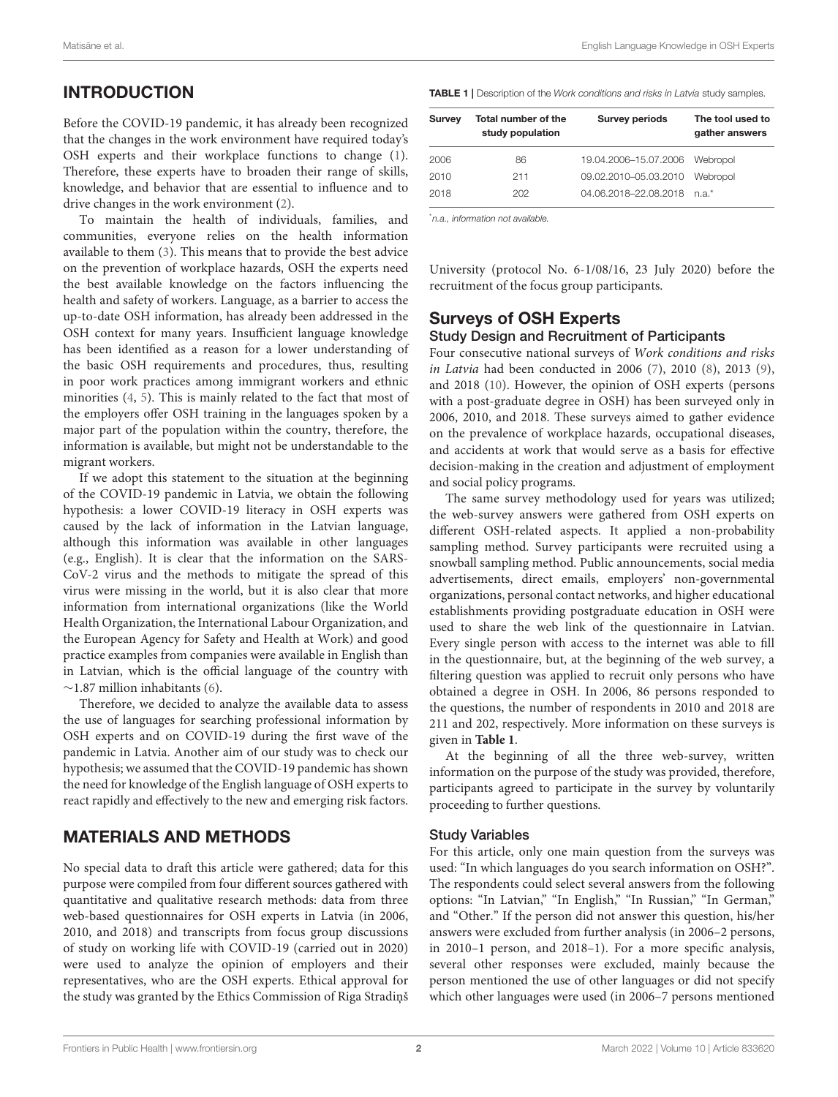# INTRODUCTION

Before the COVID-19 pandemic, it has already been recognized that the changes in the work environment have required today's OSH experts and their workplace functions to change [\(1\)](#page-13-0). Therefore, these experts have to broaden their range of skills, knowledge, and behavior that are essential to influence and to drive changes in the work environment [\(2\)](#page-13-1).

To maintain the health of individuals, families, and communities, everyone relies on the health information available to them [\(3\)](#page-13-2). This means that to provide the best advice on the prevention of workplace hazards, OSH the experts need the best available knowledge on the factors influencing the health and safety of workers. Language, as a barrier to access the up-to-date OSH information, has already been addressed in the OSH context for many years. Insufficient language knowledge has been identified as a reason for a lower understanding of the basic OSH requirements and procedures, thus, resulting in poor work practices among immigrant workers and ethnic minorities [\(4,](#page-13-3) [5\)](#page-13-4). This is mainly related to the fact that most of the employers offer OSH training in the languages spoken by a major part of the population within the country, therefore, the information is available, but might not be understandable to the migrant workers.

If we adopt this statement to the situation at the beginning of the COVID-19 pandemic in Latvia, we obtain the following hypothesis: a lower COVID-19 literacy in OSH experts was caused by the lack of information in the Latvian language, although this information was available in other languages (e.g., English). It is clear that the information on the SARS-CoV-2 virus and the methods to mitigate the spread of this virus were missing in the world, but it is also clear that more information from international organizations (like the World Health Organization, the International Labour Organization, and the European Agency for Safety and Health at Work) and good practice examples from companies were available in English than in Latvian, which is the official language of the country with ∼1.87 million inhabitants [\(6\)](#page-14-0).

Therefore, we decided to analyze the available data to assess the use of languages for searching professional information by OSH experts and on COVID-19 during the first wave of the pandemic in Latvia. Another aim of our study was to check our hypothesis; we assumed that the COVID-19 pandemic has shown the need for knowledge of the English language of OSH experts to react rapidly and effectively to the new and emerging risk factors.

# MATERIALS AND METHODS

No special data to draft this article were gathered; data for this purpose were compiled from four different sources gathered with quantitative and qualitative research methods: data from three web-based questionnaires for OSH experts in Latvia (in 2006, 2010, and 2018) and transcripts from focus group discussions of study on working life with COVID-19 (carried out in 2020) were used to analyze the opinion of employers and their representatives, who are the OSH experts. Ethical approval for the study was granted by the Ethics Commission of Riga Stradins <span id="page-1-0"></span>TABLE 1 | Description of the Work conditions and risks in Latvia study samples.

| <b>Survey</b> | Total number of the<br>study population | <b>Survey periods</b>       | The tool used to<br>gather answers |
|---------------|-----------------------------------------|-----------------------------|------------------------------------|
| 2006          | 86                                      | 19.04.2006-15.07.2006       | Webropol                           |
| 2010          | 211                                     | 09.02.2010-05.03.2010       | Webropol                           |
| 2018          | 202                                     | 04 06 2018-22 08 2018 n a * |                                    |

\*n.a., information not available.

University (protocol No. 6-1/08/16, 23 July 2020) before the recruitment of the focus group participants.

# Surveys of OSH Experts

#### Study Design and Recruitment of Participants

Four consecutive national surveys of Work conditions and risks in Latvia had been conducted in 2006 [\(7\)](#page-14-1), 2010 [\(8\)](#page-14-2), 2013 [\(9\)](#page-14-3), and 2018 [\(10\)](#page-14-4). However, the opinion of OSH experts (persons with a post-graduate degree in OSH) has been surveyed only in 2006, 2010, and 2018. These surveys aimed to gather evidence on the prevalence of workplace hazards, occupational diseases, and accidents at work that would serve as a basis for effective decision-making in the creation and adjustment of employment and social policy programs.

The same survey methodology used for years was utilized; the web-survey answers were gathered from OSH experts on different OSH-related aspects. It applied a non-probability sampling method. Survey participants were recruited using a snowball sampling method. Public announcements, social media advertisements, direct emails, employers' non-governmental organizations, personal contact networks, and higher educational establishments providing postgraduate education in OSH were used to share the web link of the questionnaire in Latvian. Every single person with access to the internet was able to fill in the questionnaire, but, at the beginning of the web survey, a filtering question was applied to recruit only persons who have obtained a degree in OSH. In 2006, 86 persons responded to the questions, the number of respondents in 2010 and 2018 are 211 and 202, respectively. More information on these surveys is given in **[Table 1](#page-1-0)**.

At the beginning of all the three web-survey, written information on the purpose of the study was provided, therefore, participants agreed to participate in the survey by voluntarily proceeding to further questions.

#### Study Variables

For this article, only one main question from the surveys was used: "In which languages do you search information on OSH?". The respondents could select several answers from the following options: "In Latvian," "In English," "In Russian," "In German," and "Other." If the person did not answer this question, his/her answers were excluded from further analysis (in 2006–2 persons, in 2010–1 person, and 2018–1). For a more specific analysis, several other responses were excluded, mainly because the person mentioned the use of other languages or did not specify which other languages were used (in 2006–7 persons mentioned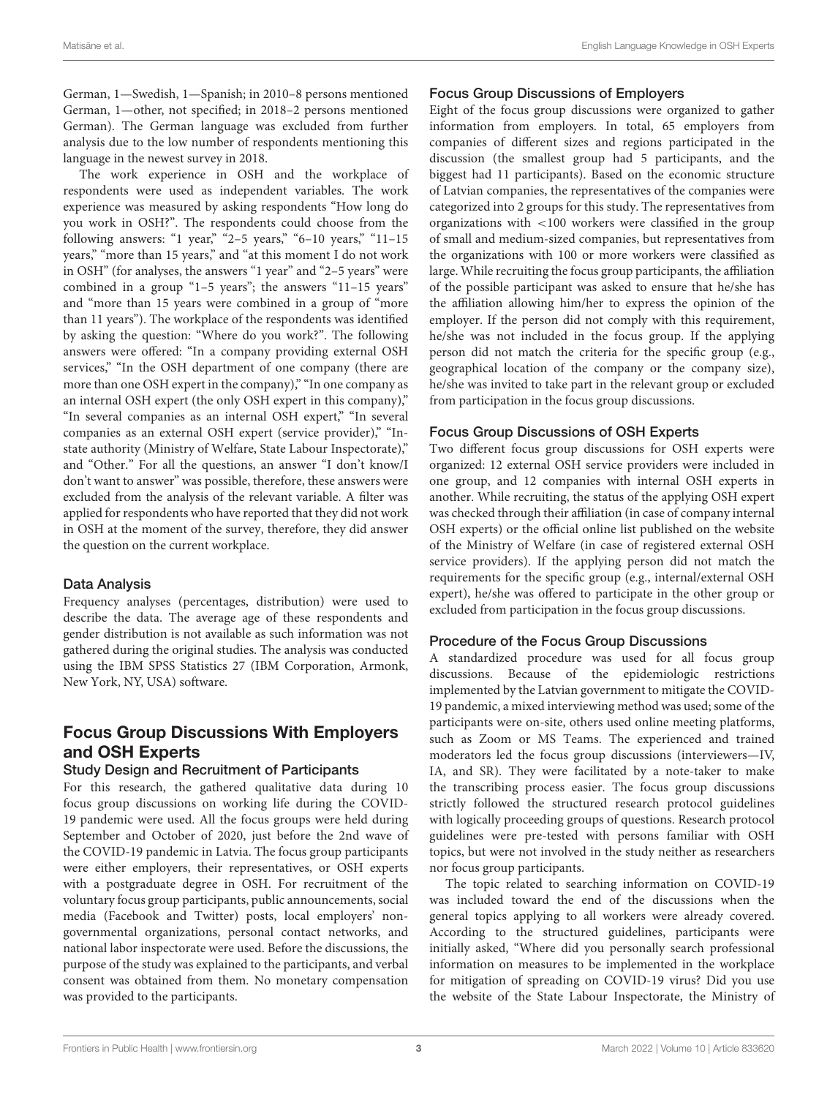German, 1—Swedish, 1—Spanish; in 2010–8 persons mentioned German, 1—other, not specified; in 2018–2 persons mentioned German). The German language was excluded from further analysis due to the low number of respondents mentioning this language in the newest survey in 2018.

The work experience in OSH and the workplace of respondents were used as independent variables. The work experience was measured by asking respondents "How long do you work in OSH?". The respondents could choose from the following answers: "1 year," "2–5 years," "6–10 years," "11–15 years," "more than 15 years," and "at this moment I do not work in OSH" (for analyses, the answers "1 year" and "2–5 years" were combined in a group "1–5 years"; the answers "11–15 years" and "more than 15 years were combined in a group of "more than 11 years"). The workplace of the respondents was identified by asking the question: "Where do you work?". The following answers were offered: "In a company providing external OSH services," "In the OSH department of one company (there are more than one OSH expert in the company)," "In one company as an internal OSH expert (the only OSH expert in this company)," "In several companies as an internal OSH expert," "In several companies as an external OSH expert (service provider)," "Instate authority (Ministry of Welfare, State Labour Inspectorate)," and "Other." For all the questions, an answer "I don't know/I don't want to answer" was possible, therefore, these answers were excluded from the analysis of the relevant variable. A filter was applied for respondents who have reported that they did not work in OSH at the moment of the survey, therefore, they did answer the question on the current workplace.

#### Data Analysis

Frequency analyses (percentages, distribution) were used to describe the data. The average age of these respondents and gender distribution is not available as such information was not gathered during the original studies. The analysis was conducted using the IBM SPSS Statistics 27 (IBM Corporation, Armonk, New York, NY, USA) software.

# Focus Group Discussions With Employers and OSH Experts

#### Study Design and Recruitment of Participants

For this research, the gathered qualitative data during 10 focus group discussions on working life during the COVID-19 pandemic were used. All the focus groups were held during September and October of 2020, just before the 2nd wave of the COVID-19 pandemic in Latvia. The focus group participants were either employers, their representatives, or OSH experts with a postgraduate degree in OSH. For recruitment of the voluntary focus group participants, public announcements, social media (Facebook and Twitter) posts, local employers' nongovernmental organizations, personal contact networks, and national labor inspectorate were used. Before the discussions, the purpose of the study was explained to the participants, and verbal consent was obtained from them. No monetary compensation was provided to the participants.

#### Focus Group Discussions of Employers

Eight of the focus group discussions were organized to gather information from employers. In total, 65 employers from companies of different sizes and regions participated in the discussion (the smallest group had 5 participants, and the biggest had 11 participants). Based on the economic structure of Latvian companies, the representatives of the companies were categorized into 2 groups for this study. The representatives from organizations with <100 workers were classified in the group of small and medium-sized companies, but representatives from the organizations with 100 or more workers were classified as large. While recruiting the focus group participants, the affiliation of the possible participant was asked to ensure that he/she has the affiliation allowing him/her to express the opinion of the employer. If the person did not comply with this requirement, he/she was not included in the focus group. If the applying person did not match the criteria for the specific group (e.g., geographical location of the company or the company size), he/she was invited to take part in the relevant group or excluded from participation in the focus group discussions.

#### Focus Group Discussions of OSH Experts

Two different focus group discussions for OSH experts were organized: 12 external OSH service providers were included in one group, and 12 companies with internal OSH experts in another. While recruiting, the status of the applying OSH expert was checked through their affiliation (in case of company internal OSH experts) or the official online list published on the website of the Ministry of Welfare (in case of registered external OSH service providers). If the applying person did not match the requirements for the specific group (e.g., internal/external OSH expert), he/she was offered to participate in the other group or excluded from participation in the focus group discussions.

#### Procedure of the Focus Group Discussions

A standardized procedure was used for all focus group discussions. Because of the epidemiologic restrictions implemented by the Latvian government to mitigate the COVID-19 pandemic, a mixed interviewing method was used; some of the participants were on-site, others used online meeting platforms, such as Zoom or MS Teams. The experienced and trained moderators led the focus group discussions (interviewers—IV, IA, and SR). They were facilitated by a note-taker to make the transcribing process easier. The focus group discussions strictly followed the structured research protocol guidelines with logically proceeding groups of questions. Research protocol guidelines were pre-tested with persons familiar with OSH topics, but were not involved in the study neither as researchers nor focus group participants.

The topic related to searching information on COVID-19 was included toward the end of the discussions when the general topics applying to all workers were already covered. According to the structured guidelines, participants were initially asked, "Where did you personally search professional information on measures to be implemented in the workplace for mitigation of spreading on COVID-19 virus? Did you use the website of the State Labour Inspectorate, the Ministry of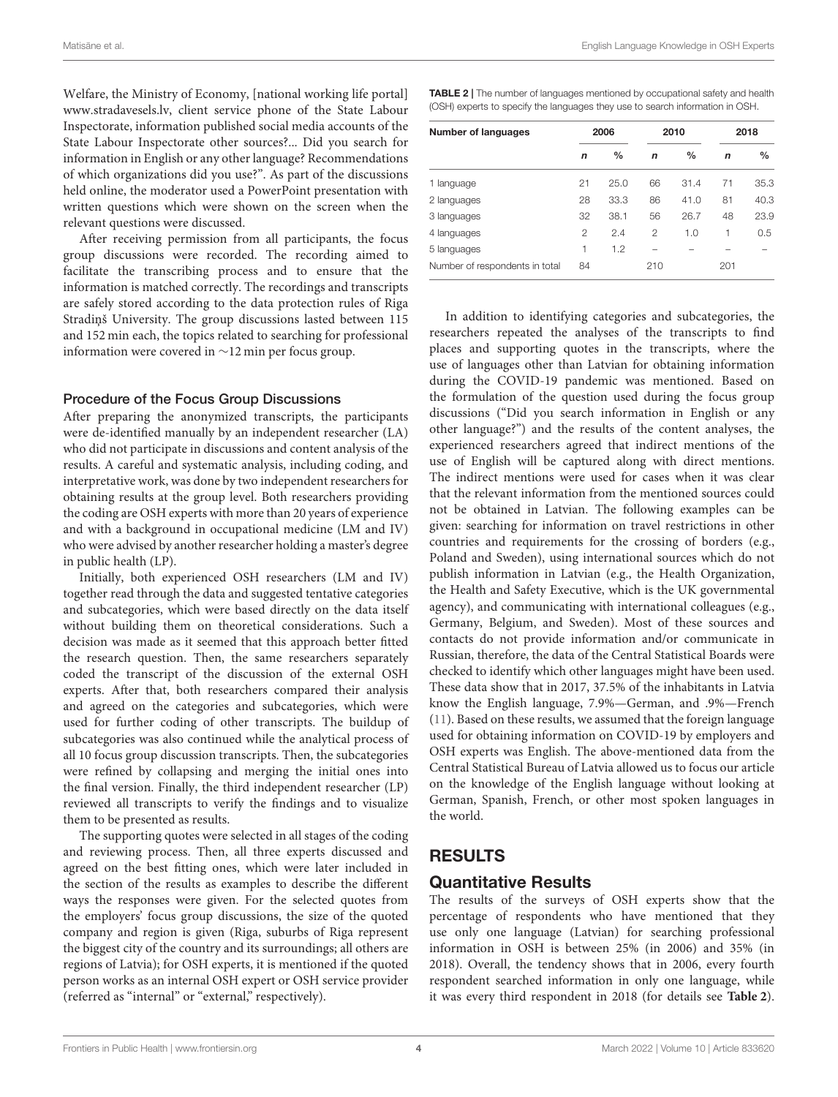Matisāne et al. **English Language Knowledge in OSH Experts** English Language Knowledge in OSH Experts

Welfare, the Ministry of Economy, [national working life portal] [www.stradavesels.lv,](http://www.stradavesels.lv) client service phone of the State Labour Inspectorate, information published social media accounts of the State Labour Inspectorate other sources?... Did you search for information in English or any other language? Recommendations of which organizations did you use?". As part of the discussions held online, the moderator used a PowerPoint presentation with written questions which were shown on the screen when the relevant questions were discussed.

After receiving permission from all participants, the focus group discussions were recorded. The recording aimed to facilitate the transcribing process and to ensure that the information is matched correctly. The recordings and transcripts are safely stored according to the data protection rules of Riga Stradiņš University. The group discussions lasted between 115 and 152 min each, the topics related to searching for professional information were covered in ∼12 min per focus group.

#### Procedure of the Focus Group Discussions

After preparing the anonymized transcripts, the participants were de-identified manually by an independent researcher (LA) who did not participate in discussions and content analysis of the results. A careful and systematic analysis, including coding, and interpretative work, was done by two independent researchers for obtaining results at the group level. Both researchers providing the coding are OSH experts with more than 20 years of experience and with a background in occupational medicine (LM and IV) who were advised by another researcher holding a master's degree in public health (LP).

Initially, both experienced OSH researchers (LM and IV) together read through the data and suggested tentative categories and subcategories, which were based directly on the data itself without building them on theoretical considerations. Such a decision was made as it seemed that this approach better fitted the research question. Then, the same researchers separately coded the transcript of the discussion of the external OSH experts. After that, both researchers compared their analysis and agreed on the categories and subcategories, which were used for further coding of other transcripts. The buildup of subcategories was also continued while the analytical process of all 10 focus group discussion transcripts. Then, the subcategories were refined by collapsing and merging the initial ones into the final version. Finally, the third independent researcher (LP) reviewed all transcripts to verify the findings and to visualize them to be presented as results.

The supporting quotes were selected in all stages of the coding and reviewing process. Then, all three experts discussed and agreed on the best fitting ones, which were later included in the section of the results as examples to describe the different ways the responses were given. For the selected quotes from the employers' focus group discussions, the size of the quoted company and region is given (Riga, suburbs of Riga represent the biggest city of the country and its surroundings; all others are regions of Latvia); for OSH experts, it is mentioned if the quoted person works as an internal OSH expert or OSH service provider (referred as "internal" or "external," respectively).

<span id="page-3-0"></span>TABLE 2 | The number of languages mentioned by occupational safety and health (OSH) experts to specify the languages they use to search information in OSH.

| <b>Number of languages</b>     |                | 2006          |                | 2010          | 2018 |               |  |
|--------------------------------|----------------|---------------|----------------|---------------|------|---------------|--|
|                                | n              | $\frac{0}{0}$ | $\mathbf n$    | $\frac{0}{0}$ | n    | $\frac{0}{0}$ |  |
| 1 language                     | 21             | 25.0          | 66             | 31.4          | 71   | 35.3          |  |
| 2 languages                    | 28             | 33.3          | 86             | 41.0          | 81   | 40.3          |  |
| 3 languages                    | 32             | 38.1          | 56             | 26.7          | 48   | 23.9          |  |
| 4 languages                    | $\mathfrak{D}$ | 2.4           | $\mathfrak{p}$ | 1.0           | 1    | 0.5           |  |
| 5 languages                    | 1              | 1.2           |                |               |      |               |  |
| Number of respondents in total | 84             |               | 210            |               | 201  |               |  |

In addition to identifying categories and subcategories, the researchers repeated the analyses of the transcripts to find places and supporting quotes in the transcripts, where the use of languages other than Latvian for obtaining information during the COVID-19 pandemic was mentioned. Based on the formulation of the question used during the focus group discussions ("Did you search information in English or any other language?") and the results of the content analyses, the experienced researchers agreed that indirect mentions of the use of English will be captured along with direct mentions. The indirect mentions were used for cases when it was clear that the relevant information from the mentioned sources could not be obtained in Latvian. The following examples can be given: searching for information on travel restrictions in other countries and requirements for the crossing of borders (e.g., Poland and Sweden), using international sources which do not publish information in Latvian (e.g., the Health Organization, the Health and Safety Executive, which is the UK governmental agency), and communicating with international colleagues (e.g., Germany, Belgium, and Sweden). Most of these sources and contacts do not provide information and/or communicate in Russian, therefore, the data of the Central Statistical Boards were checked to identify which other languages might have been used. These data show that in 2017, 37.5% of the inhabitants in Latvia know the English language, 7.9%—German, and .9%—French [\(11\)](#page-14-5). Based on these results, we assumed that the foreign language used for obtaining information on COVID-19 by employers and OSH experts was English. The above-mentioned data from the Central Statistical Bureau of Latvia allowed us to focus our article on the knowledge of the English language without looking at German, Spanish, French, or other most spoken languages in the world.

### RESULTS

#### Quantitative Results

The results of the surveys of OSH experts show that the percentage of respondents who have mentioned that they use only one language (Latvian) for searching professional information in OSH is between 25% (in 2006) and 35% (in 2018). Overall, the tendency shows that in 2006, every fourth respondent searched information in only one language, while it was every third respondent in 2018 (for details see **[Table 2](#page-3-0)**).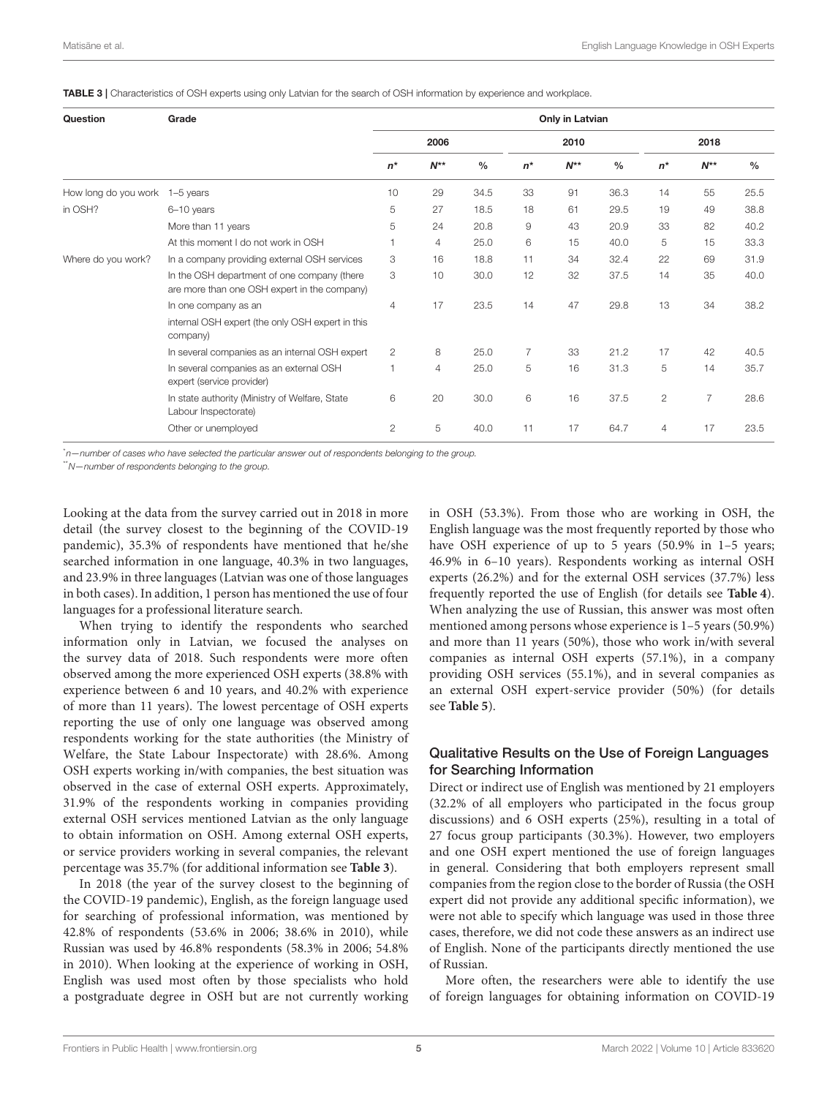<span id="page-4-0"></span>TABLE 3 | Characteristics of OSH experts using only Latvian for the search of OSH information by experience and workplace.

| Question                       | Grade                                                                                       | Only in Latvian |                |               |                |          |               |                |                |               |  |
|--------------------------------|---------------------------------------------------------------------------------------------|-----------------|----------------|---------------|----------------|----------|---------------|----------------|----------------|---------------|--|
|                                |                                                                                             | 2006            |                |               | 2010           |          |               | 2018           |                |               |  |
|                                |                                                                                             | $n^*$           | $N^{**}$       | $\frac{0}{0}$ | $n^*$          | $N^{**}$ | $\frac{0}{0}$ | $n^*$          | $N^{**}$       | $\frac{0}{0}$ |  |
| How long do you work 1-5 years |                                                                                             | 10              | 29             | 34.5          | 33             | 91       | 36.3          | 14             | 55             | 25.5          |  |
| in OSH?                        | 6-10 years                                                                                  | 5               | 27             | 18.5          | 18             | 61       | 29.5          | 19             | 49             | 38.8          |  |
|                                | More than 11 years                                                                          | 5               | 24             | 20.8          | 9              | 43       | 20.9          | 33             | 82             | 40.2          |  |
|                                | At this moment I do not work in OSH                                                         | 1               | $\overline{4}$ | 25.0          | 6              | 15       | 40.0          | 5              | 15             | 33.3          |  |
| Where do you work?             | In a company providing external OSH services                                                | 3               | 16             | 18.8          | 11             | 34       | 32.4          | 22             | 69             | 31.9          |  |
|                                | In the OSH department of one company (there<br>are more than one OSH expert in the company) | 3               | 10             | 30.0          | 12             | 32       | 37.5          | 14             | 35             | 40.0          |  |
|                                | In one company as an                                                                        | $\overline{4}$  | 17             | 23.5          | 14             | 47       | 29.8          | 13             | 34             | 38.2          |  |
|                                | internal OSH expert (the only OSH expert in this<br>company)                                |                 |                |               |                |          |               |                |                |               |  |
|                                | In several companies as an internal OSH expert                                              | 2               | 8              | 25.0          | $\overline{7}$ | 33       | 21.2          | 17             | 42             | 40.5          |  |
|                                | In several companies as an external OSH<br>expert (service provider)                        | f,              | $\overline{4}$ | 25.0          | 5              | 16       | 31.3          | 5              | 14             | 35.7          |  |
|                                | In state authority (Ministry of Welfare, State<br>Labour Inspectorate)                      | 6               | 20             | 30.0          | 6              | 16       | 37.5          | $\overline{2}$ | $\overline{7}$ | 28.6          |  |
|                                | Other or unemployed                                                                         | 2               | 5              | 40.0          | 11             | 17       | 64.7          | 4              | 17             | 23.5          |  |

\*n—number of cases who have selected the particular answer out of respondents belonging to the group.

\*\*N—number of respondents belonging to the group.

Looking at the data from the survey carried out in 2018 in more detail (the survey closest to the beginning of the COVID-19 pandemic), 35.3% of respondents have mentioned that he/she searched information in one language, 40.3% in two languages, and 23.9% in three languages (Latvian was one of those languages in both cases). In addition, 1 person has mentioned the use of four languages for a professional literature search.

When trying to identify the respondents who searched information only in Latvian, we focused the analyses on the survey data of 2018. Such respondents were more often observed among the more experienced OSH experts (38.8% with experience between 6 and 10 years, and 40.2% with experience of more than 11 years). The lowest percentage of OSH experts reporting the use of only one language was observed among respondents working for the state authorities (the Ministry of Welfare, the State Labour Inspectorate) with 28.6%. Among OSH experts working in/with companies, the best situation was observed in the case of external OSH experts. Approximately, 31.9% of the respondents working in companies providing external OSH services mentioned Latvian as the only language to obtain information on OSH. Among external OSH experts, or service providers working in several companies, the relevant percentage was 35.7% (for additional information see **[Table 3](#page-4-0)**).

In 2018 (the year of the survey closest to the beginning of the COVID-19 pandemic), English, as the foreign language used for searching of professional information, was mentioned by 42.8% of respondents (53.6% in 2006; 38.6% in 2010), while Russian was used by 46.8% respondents (58.3% in 2006; 54.8% in 2010). When looking at the experience of working in OSH, English was used most often by those specialists who hold a postgraduate degree in OSH but are not currently working in OSH (53.3%). From those who are working in OSH, the English language was the most frequently reported by those who have OSH experience of up to 5 years (50.9% in 1-5 years; 46.9% in 6–10 years). Respondents working as internal OSH experts (26.2%) and for the external OSH services (37.7%) less frequently reported the use of English (for details see **[Table 4](#page-5-0)**). When analyzing the use of Russian, this answer was most often mentioned among persons whose experience is 1–5 years (50.9%) and more than 11 years (50%), those who work in/with several companies as internal OSH experts (57.1%), in a company providing OSH services (55.1%), and in several companies as an external OSH expert-service provider (50%) (for details see **[Table 5](#page-5-1)**).

#### Qualitative Results on the Use of Foreign Languages for Searching Information

Direct or indirect use of English was mentioned by 21 employers (32.2% of all employers who participated in the focus group discussions) and 6 OSH experts (25%), resulting in a total of 27 focus group participants (30.3%). However, two employers and one OSH expert mentioned the use of foreign languages in general. Considering that both employers represent small companies from the region close to the border of Russia (the OSH expert did not provide any additional specific information), we were not able to specify which language was used in those three cases, therefore, we did not code these answers as an indirect use of English. None of the participants directly mentioned the use of Russian.

More often, the researchers were able to identify the use of foreign languages for obtaining information on COVID-19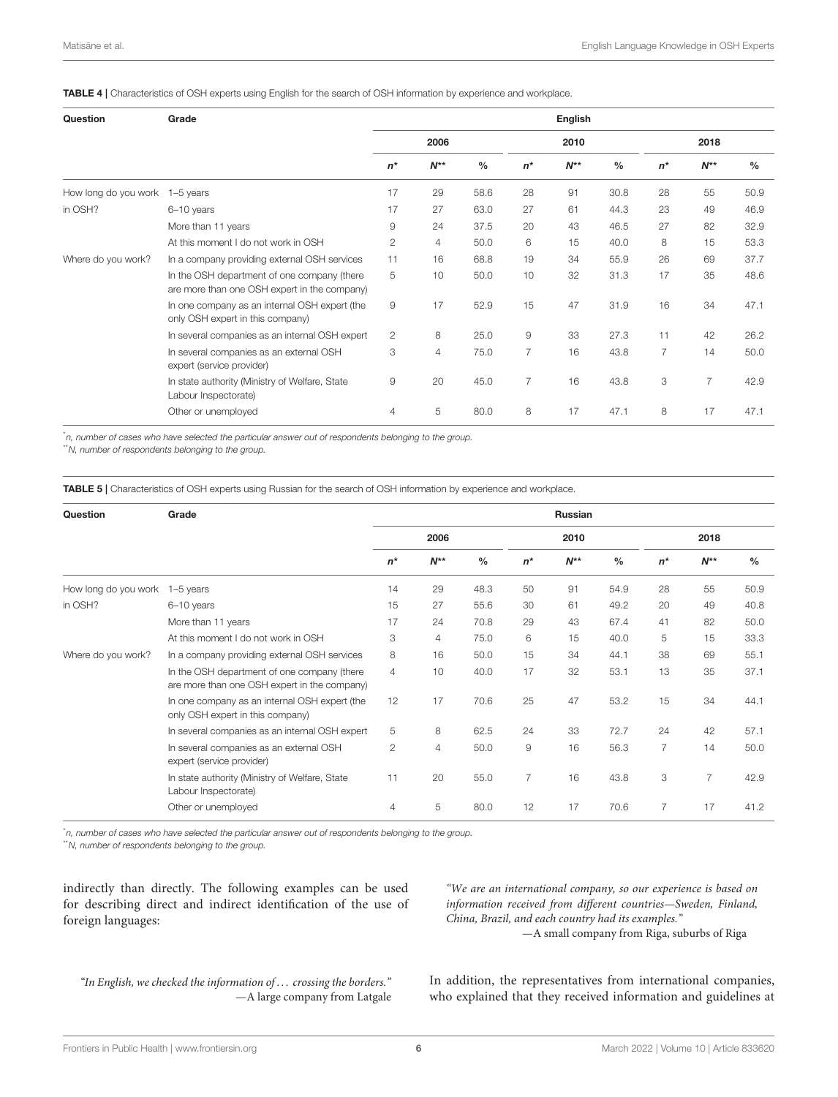<span id="page-5-0"></span>TABLE 4 | Characteristics of OSH experts using English for the search of OSH information by experience and workplace.

| Question             | Grade                                                                                       | English                |                |               |                |          |               |                |          |               |  |
|----------------------|---------------------------------------------------------------------------------------------|------------------------|----------------|---------------|----------------|----------|---------------|----------------|----------|---------------|--|
|                      |                                                                                             | 2006                   |                |               | 2010           |          |               | 2018           |          |               |  |
|                      |                                                                                             | $n^*$                  | $N^{**}$       | $\frac{0}{0}$ | $n^*$          | $N^{**}$ | $\frac{0}{0}$ | $n^*$          | $N^{**}$ | $\frac{0}{0}$ |  |
| How long do you work | 1-5 years                                                                                   | 17                     | 29             | 58.6          | 28             | 91       | 30.8          | 28             | 55       | 50.9          |  |
| in OSH?              | 6-10 years                                                                                  | 17                     | 27             | 63.0          | 27             | 61       | 44.3          | 23             | 49       | 46.9          |  |
|                      | More than 11 years                                                                          | $\mathrel{\mathsf{g}}$ | 24             | 37.5          | 20             | 43       | 46.5          | 27             | 82       | 32.9          |  |
|                      | At this moment I do not work in OSH                                                         | $\mathbf{2}$           | $\overline{4}$ | 50.0          | 6              | 15       | 40.0          | 8              | 15       | 53.3          |  |
| Where do you work?   | In a company providing external OSH services                                                | 11                     | 16             | 68.8          | 19             | 34       | 55.9          | 26             | 69       | 37.7          |  |
|                      | In the OSH department of one company (there<br>are more than one OSH expert in the company) | 5                      | 10             | 50.0          | 10             | 32       | 31.3          | 17             | 35       | 48.6          |  |
|                      | In one company as an internal OSH expert (the<br>only OSH expert in this company)           | $\overline{9}$         | 17             | 52.9          | 15             | 47       | 31.9          | 16             | 34       | 47.1          |  |
|                      | In several companies as an internal OSH expert                                              | 2                      | 8              | 25.0          | 9              | 33       | 27.3          | 11             | 42       | 26.2          |  |
|                      | In several companies as an external OSH<br>expert (service provider)                        | 3                      | $\overline{4}$ | 75.0          | 7              | 16       | 43.8          | $\overline{7}$ | 14       | 50.0          |  |
|                      | In state authority (Ministry of Welfare, State<br>Labour Inspectorate)                      | 9                      | 20             | 45.0          | $\overline{7}$ | 16       | 43.8          | 3              | 7        | 42.9          |  |
|                      | Other or unemployed                                                                         | 4                      | 5              | 80.0          | 8              | 17       | 47.1          | 8              | 17       | 47.1          |  |

\*n, number of cases who have selected the particular answer out of respondents belonging to the group.

\*\*N, number of respondents belonging to the group.

<span id="page-5-1"></span>TABLE 5 | Characteristics of OSH experts using Russian for the search of OSH information by experience and workplace.

| Question             | Grade                                                                                       | Russian        |                |      |                |          |               |                |                |               |  |
|----------------------|---------------------------------------------------------------------------------------------|----------------|----------------|------|----------------|----------|---------------|----------------|----------------|---------------|--|
|                      |                                                                                             | 2006           |                |      | 2010           |          |               |                | 2018           |               |  |
|                      |                                                                                             | $n^*$          | $N^{**}$       | $\%$ | $n^*$          | $N^{**}$ | $\frac{0}{0}$ | $n^*$          | $N^{**}$       | $\frac{0}{0}$ |  |
| How long do you work | 1-5 years                                                                                   | 14             | 29             | 48.3 | 50             | 91       | 54.9          | 28             | 55             | 50.9          |  |
| in OSH?              | 6-10 years                                                                                  | 15             | 27             | 55.6 | 30             | 61       | 49.2          | 20             | 49             | 40.8          |  |
|                      | More than 11 years                                                                          | 17             | 24             | 70.8 | 29             | 43       | 67.4          | 41             | 82             | 50.0          |  |
|                      | At this moment I do not work in OSH                                                         | 3              | $\overline{4}$ | 75.0 | 6              | 15       | 40.0          | 5              | 15             | 33.3          |  |
| Where do you work?   | In a company providing external OSH services                                                | 8              | 16             | 50.0 | 15             | 34       | 44.1          | 38             | 69             | 55.1          |  |
|                      | In the OSH department of one company (there<br>are more than one OSH expert in the company) | $\overline{4}$ | 10             | 40.0 | 17             | 32       | 53.1          | 13             | 35             | 37.1          |  |
|                      | In one company as an internal OSH expert (the<br>only OSH expert in this company)           | 12             | 17             | 70.6 | 25             | 47       | 53.2          | 15             | 34             | 44.1          |  |
|                      | In several companies as an internal OSH expert                                              | 5              | 8              | 62.5 | 24             | 33       | 72.7          | 24             | 42             | 57.1          |  |
|                      | In several companies as an external OSH<br>expert (service provider)                        | $\overline{c}$ | $\overline{4}$ | 50.0 | 9              | 16       | 56.3          | $\overline{7}$ | 14             | 50.0          |  |
|                      | In state authority (Ministry of Welfare, State<br>Labour Inspectorate)                      | 11             | 20             | 55.0 | $\overline{7}$ | 16       | 43.8          | 3              | $\overline{7}$ | 42.9          |  |
|                      | Other or unemployed                                                                         | 4              | 5              | 80.0 | 12             | 17       | 70.6          | 7              | 17             | 41.2          |  |

\*n, number of cases who have selected the particular answer out of respondents belonging to the group.

\*\*N, number of respondents belonging to the group.

indirectly than directly. The following examples can be used for describing direct and indirect identification of the use of foreign languages:

"We are an international company, so our experience is based on information received from different countries—Sweden, Finland, China, Brazil, and each country had its examples."

—A small company from Riga, suburbs of Riga

"In English, we checked the information of . . . crossing the borders." —A large company from Latgale In addition, the representatives from international companies, who explained that they received information and guidelines at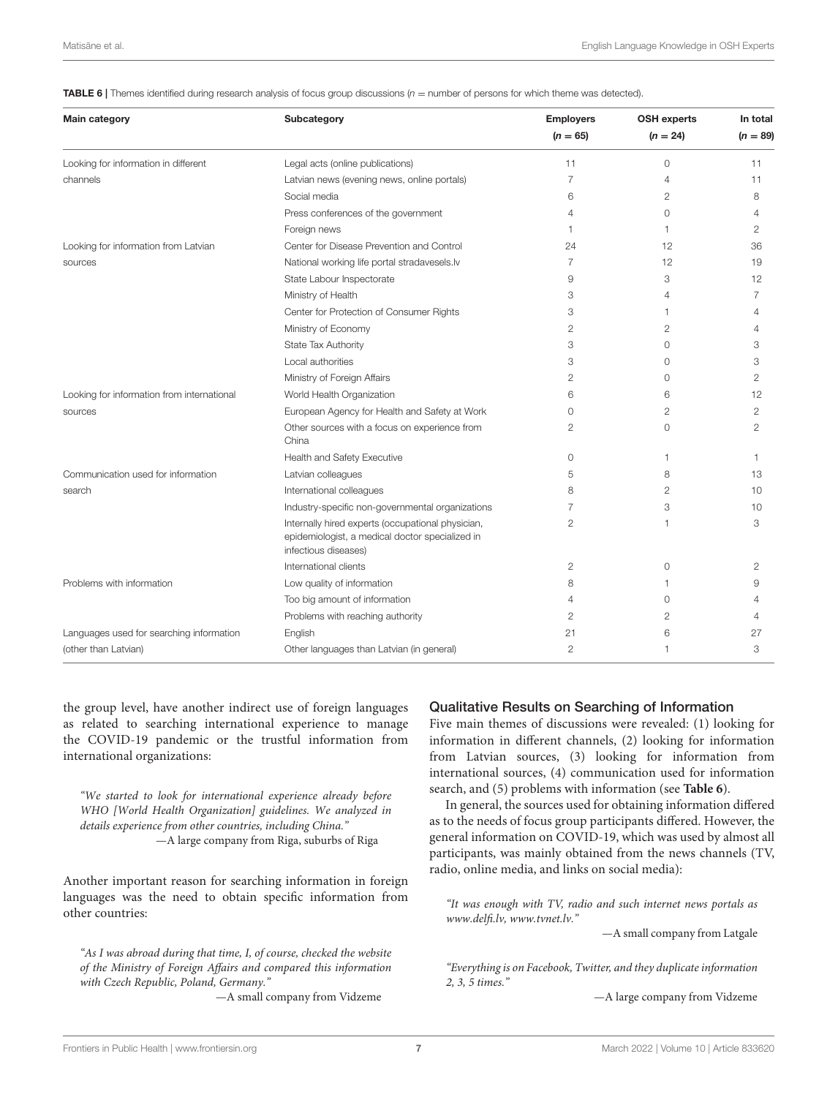<span id="page-6-0"></span>**TABLE 6** | Themes identified during research analysis of focus group discussions  $(n =$  number of persons for which theme was detected).

| <b>Main category</b>                       | Subcategory                                                                                                                  | <b>Employers</b> | <b>OSH experts</b> | In total       |
|--------------------------------------------|------------------------------------------------------------------------------------------------------------------------------|------------------|--------------------|----------------|
|                                            |                                                                                                                              | $(n = 65)$       | $(n = 24)$         | $(n = 89)$     |
| Looking for information in different       | Legal acts (online publications)                                                                                             | 11               | $\circ$            | 11             |
| channels                                   | Latvian news (evening news, online portals)                                                                                  | $\overline{7}$   | 4                  | 11             |
|                                            | Social media                                                                                                                 | 6                | 2                  | 8              |
|                                            | Press conferences of the government                                                                                          | 4                | 0                  | 4              |
|                                            | Foreign news                                                                                                                 | 1                | 1                  | 2              |
| Looking for information from Latvian       | Center for Disease Prevention and Control                                                                                    | 24               | 12                 | 36             |
| sources                                    | National working life portal stradavesels.lv                                                                                 | $\overline{7}$   | 12                 | 19             |
|                                            | State Labour Inspectorate                                                                                                    | 9                | 3                  | 12             |
|                                            | Ministry of Health                                                                                                           | 3                | 4                  | 7              |
|                                            | Center for Protection of Consumer Rights                                                                                     | 3                | 1                  | 4              |
|                                            | Ministry of Economy                                                                                                          | 2                | $\overline{2}$     | 4              |
|                                            | State Tax Authority                                                                                                          | 3                | 0                  | 3              |
|                                            | Local authorities                                                                                                            | 3                | 0                  | 3              |
|                                            | Ministry of Foreign Affairs                                                                                                  | $\overline{c}$   | $\circ$            | $\mathbf{2}$   |
| Looking for information from international | World Health Organization                                                                                                    | 6                | 6                  | 12             |
| sources                                    | European Agency for Health and Safety at Work                                                                                | $\Omega$         | $\overline{2}$     | 2              |
|                                            | Other sources with a focus on experience from<br>China                                                                       | 2                | $\Omega$           | $\overline{2}$ |
|                                            | Health and Safety Executive                                                                                                  | $\circ$          | $\overline{1}$     | $\mathbf{1}$   |
| Communication used for information         | Latvian colleagues                                                                                                           | 5                | 8                  | 13             |
| search                                     | International colleagues                                                                                                     | 8                | $\overline{2}$     | 10             |
|                                            | Industry-specific non-governmental organizations                                                                             | 7                | 3                  | 10             |
|                                            | Internally hired experts (occupational physician,<br>epidemiologist, a medical doctor specialized in<br>infectious diseases) | $\overline{2}$   | 1                  | 3              |
|                                            | International clients                                                                                                        | $\overline{c}$   | 0                  | 2              |
| Problems with information                  | Low quality of information                                                                                                   | 8                | 1                  | 9              |
|                                            | Too big amount of information                                                                                                | 4                | $\Omega$           | Δ              |
|                                            | Problems with reaching authority                                                                                             | $\overline{c}$   | 2                  | Δ              |
| Languages used for searching information   | English                                                                                                                      | 21               | 6                  | 27             |
| (other than Latvian)                       | Other languages than Latvian (in general)                                                                                    | $\overline{2}$   | 1                  | 3              |

the group level, have another indirect use of foreign languages as related to searching international experience to manage the COVID-19 pandemic or the trustful information from international organizations:

"We started to look for international experience already before WHO [World Health Organization] guidelines. We analyzed in details experience from other countries, including China." —A large company from Riga, suburbs of Riga

Another important reason for searching information in foreign languages was the need to obtain specific information from other countries:

"As I was abroad during that time, I, of course, checked the website of the Ministry of Foreign Affairs and compared this information with Czech Republic, Poland, Germany."

—A small company from Vidzeme

#### Qualitative Results on Searching of Information

Five main themes of discussions were revealed: (1) looking for information in different channels, (2) looking for information from Latvian sources, (3) looking for information from international sources, (4) communication used for information search, and (5) problems with information (see **[Table 6](#page-6-0)**).

In general, the sources used for obtaining information differed as to the needs of focus group participants differed. However, the general information on COVID-19, which was used by almost all participants, was mainly obtained from the news channels (TV, radio, online media, and links on social media):

"It was enough with TV, radio and such internet news portals as [www.delfi.lv,](http://www.delfi.lv) [www.tvnet.lv.](http://www.tvnet.lv)"

—A small company from Latgale

"Everything is on Facebook, Twitter, and they duplicate information 2, 3, 5 times."

—A large company from Vidzeme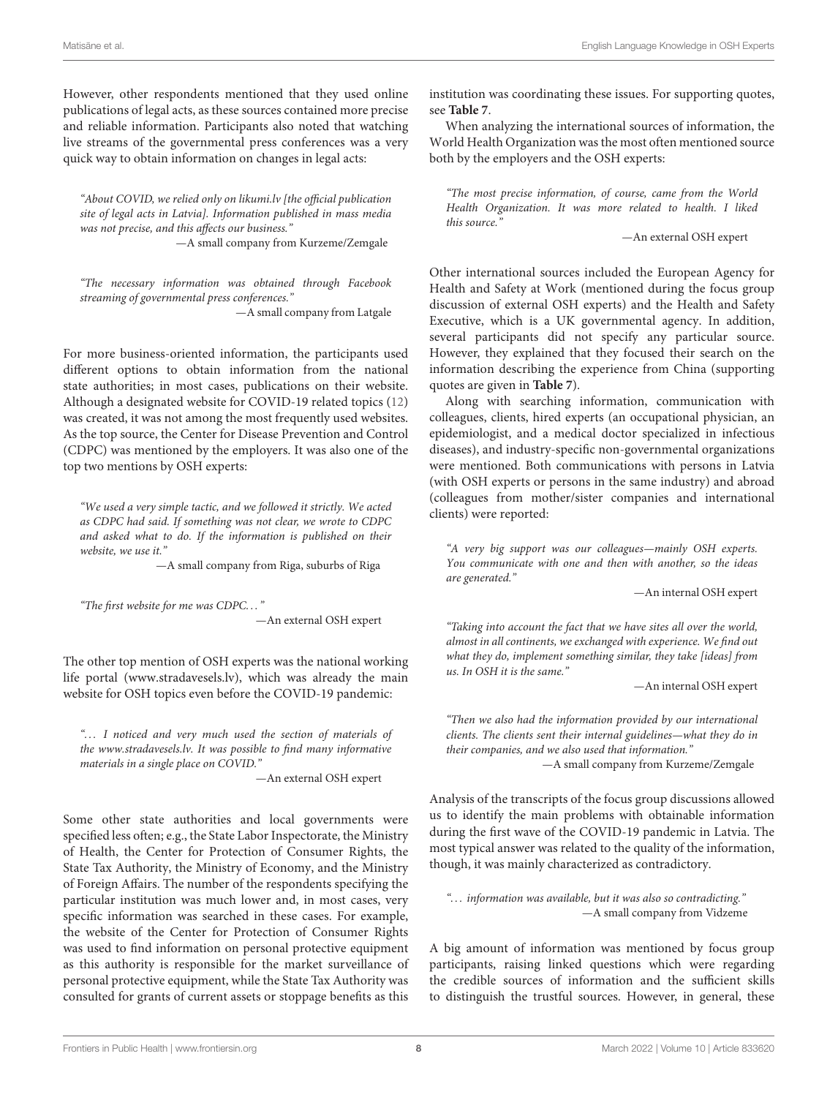However, other respondents mentioned that they used online publications of legal acts, as these sources contained more precise and reliable information. Participants also noted that watching live streams of the governmental press conferences was a very quick way to obtain information on changes in legal acts:

"About COVID, we relied only on [likumi.lv](https://likumi.lv) [the official publication site of legal acts in Latvia]. Information published in mass media was not precise, and this affects our business."

—A small company from Kurzeme/Zemgale

"The necessary information was obtained through Facebook streaming of governmental press conferences." —A small company from Latgale

For more business-oriented information, the participants used different options to obtain information from the national state authorities; in most cases, publications on their website. Although a designated website for COVID-19 related topics [\(12\)](#page-14-6) was created, it was not among the most frequently used websites. As the top source, the Center for Disease Prevention and Control (CDPC) was mentioned by the employers. It was also one of the top two mentions by OSH experts:

"We used a very simple tactic, and we followed it strictly. We acted as CDPC had said. If something was not clear, we wrote to CDPC and asked what to do. If the information is published on their website, we use it."

—A small company from Riga, suburbs of Riga

"The first website for me was CDPC. . . " —An external OSH expert

The other top mention of OSH experts was the national working life portal [\(www.stradavesels.lv\)](http://www.stradavesels.lv), which was already the main website for OSH topics even before the COVID-19 pandemic:

"... I noticed and very much used the section of materials of the [www.stradavesels.lv.](http://www.stradavesels.lv) It was possible to find many informative materials in a single place on COVID."

—An external OSH expert

Some other state authorities and local governments were specified less often; e.g., the State Labor Inspectorate, the Ministry of Health, the Center for Protection of Consumer Rights, the State Tax Authority, the Ministry of Economy, and the Ministry of Foreign Affairs. The number of the respondents specifying the particular institution was much lower and, in most cases, very specific information was searched in these cases. For example, the website of the Center for Protection of Consumer Rights was used to find information on personal protective equipment as this authority is responsible for the market surveillance of personal protective equipment, while the State Tax Authority was consulted for grants of current assets or stoppage benefits as this institution was coordinating these issues. For supporting quotes, see **[Table 7](#page-8-0)**.

When analyzing the international sources of information, the World Health Organization was the most often mentioned source both by the employers and the OSH experts:

"The most precise information, of course, came from the World Health Organization. It was more related to health. I liked this source."

—An external OSH expert

Other international sources included the European Agency for Health and Safety at Work (mentioned during the focus group discussion of external OSH experts) and the Health and Safety Executive, which is a UK governmental agency. In addition, several participants did not specify any particular source. However, they explained that they focused their search on the information describing the experience from China (supporting quotes are given in **[Table 7](#page-8-0)**).

Along with searching information, communication with colleagues, clients, hired experts (an occupational physician, an epidemiologist, and a medical doctor specialized in infectious diseases), and industry-specific non-governmental organizations were mentioned. Both communications with persons in Latvia (with OSH experts or persons in the same industry) and abroad (colleagues from mother/sister companies and international clients) were reported:

"A very big support was our colleagues—mainly OSH experts. You communicate with one and then with another, so the ideas are generated."

—An internal OSH expert

"Taking into account the fact that we have sites all over the world, almost in all continents, we exchanged with experience. We find out what they do, implement something similar, they take [ideas] from us. In OSH it is the same."

—An internal OSH expert

"Then we also had the information provided by our international clients. The clients sent their internal guidelines—what they do in their companies, and we also used that information." —A small company from Kurzeme/Zemgale

Analysis of the transcripts of the focus group discussions allowed us to identify the main problems with obtainable information during the first wave of the COVID-19 pandemic in Latvia. The most typical answer was related to the quality of the information, though, it was mainly characterized as contradictory.

"... information was available, but it was also so contradicting." —A small company from Vidzeme

A big amount of information was mentioned by focus group participants, raising linked questions which were regarding the credible sources of information and the sufficient skills to distinguish the trustful sources. However, in general, these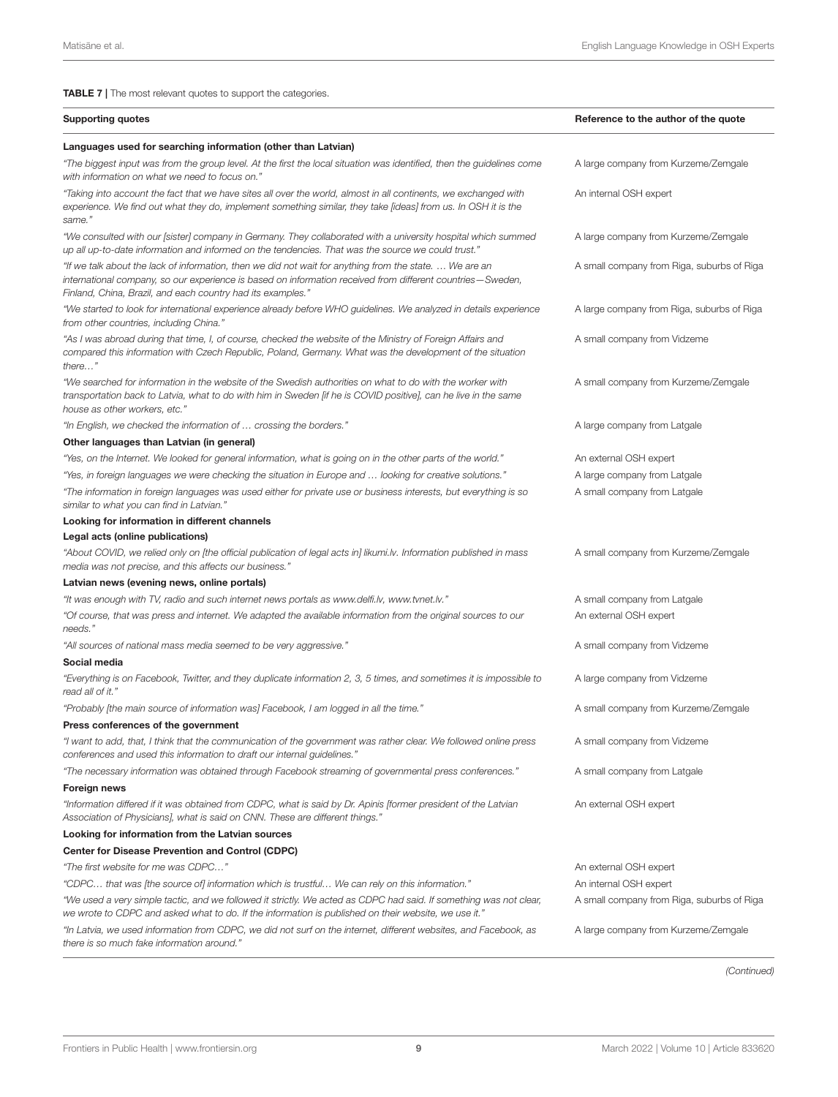<span id="page-8-0"></span>TABLE 7 | The most relevant quotes to support the categories.

| <b>Supporting quotes</b>                                                                                                                                                                                                                                                             | Reference to the author of the quote       |
|--------------------------------------------------------------------------------------------------------------------------------------------------------------------------------------------------------------------------------------------------------------------------------------|--------------------------------------------|
| Languages used for searching information (other than Latvian)                                                                                                                                                                                                                        |                                            |
| "The biggest input was from the group level. At the first the local situation was identified, then the guidelines come<br>with information on what we need to focus on."                                                                                                             | A large company from Kurzeme/Zemgale       |
| "Taking into account the fact that we have sites all over the world, almost in all continents, we exchanged with<br>experience. We find out what they do, implement something similar, they take [ideas] from us. In OSH it is the<br>same."                                         | An internal OSH expert                     |
| "We consulted with our [sister] company in Germany. They collaborated with a university hospital which summed<br>"up all up-to-date information and informed on the tendencies. That was the source we could trust.                                                                  | A large company from Kurzeme/Zemgale       |
| "If we talk about the lack of information, then we did not wait for anything from the state.  We are an<br>international company, so our experience is based on information received from different countries—Sweden,<br>Finland, China, Brazil, and each country had its examples." | A small company from Riga, suburbs of Riga |
| "We started to look for international experience already before WHO guidelines. We analyzed in details experience<br>from other countries, including China."                                                                                                                         | A large company from Riga, suburbs of Riga |
| "As I was abroad during that time, I, of course, checked the website of the Ministry of Foreign Affairs and<br>compared this information with Czech Republic, Poland, Germany. What was the development of the situation<br>$there$ "                                                | A small company from Vidzeme               |
| "We searched for information in the website of the Swedish authorities on what to do with the worker with<br>transportation back to Latvia, what to do with him in Sweden [if he is COVID positive], can he live in the same<br>house as other workers, etc."                        | A small company from Kurzeme/Zemgale       |
| "In English, we checked the information of  crossing the borders."                                                                                                                                                                                                                   | A large company from Latgale               |
| Other languages than Latvian (in general)                                                                                                                                                                                                                                            |                                            |
| "Yes, on the Internet. We looked for general information, what is going on in the other parts of the world."                                                                                                                                                                         | An external OSH expert                     |
| "Yes, in foreign languages we were checking the situation in Europe and  looking for creative solutions."                                                                                                                                                                            | A large company from Latgale               |
| "The information in foreign languages was used either for private use or business interests, but everything is so<br>similar to what you can find in Latvian."                                                                                                                       | A small company from Latgale               |
| Looking for information in different channels                                                                                                                                                                                                                                        |                                            |
| Legal acts (online publications)                                                                                                                                                                                                                                                     |                                            |
| "About COVID, we relied only on [the official publication of legal acts in] likumi.lv. Information published in mass<br>media was not precise, and this affects our business."                                                                                                       | A small company from Kurzeme/Zemgale       |
| Latvian news (evening news, online portals)                                                                                                                                                                                                                                          |                                            |
| "It was enough with TV, radio and such internet news portals as www.delfi.lv, www.tvnet.lv."                                                                                                                                                                                         | A small company from Latgale               |
| "Of course, that was press and internet. We adapted the available information from the original sources to our<br>needs."                                                                                                                                                            | An external OSH expert                     |
| "All sources of national mass media seemed to be very aggressive."                                                                                                                                                                                                                   | A small company from Vidzeme               |
| Social media                                                                                                                                                                                                                                                                         |                                            |
| "Everything is on Facebook, Twitter, and they duplicate information 2, 3, 5 times, and sometimes it is impossible to<br>read all of it."                                                                                                                                             | A large company from Vidzeme               |
| "Probably [the main source of information was] Facebook, I am logged in all the time."                                                                                                                                                                                               | A small company from Kurzeme/Zemgale       |
| Press conferences of the government                                                                                                                                                                                                                                                  |                                            |
| "I want to add, that, I think that the communication of the government was rather clear. We followed online press<br>conferences and used this information to draft our internal guidelines."                                                                                        | A small company from Vidzeme               |
| "The necessary information was obtained through Facebook streaming of governmental press conferences."                                                                                                                                                                               | A small company from Latgale               |
| Foreign news                                                                                                                                                                                                                                                                         |                                            |
| "Information differed if it was obtained from CDPC, what is said by Dr. Apinis [former president of the Latvian<br>Association of Physicians], what is said on CNN. These are different things."                                                                                     | An external OSH expert                     |
| Looking for information from the Latvian sources                                                                                                                                                                                                                                     |                                            |
| Center for Disease Prevention and Control (CDPC)                                                                                                                                                                                                                                     |                                            |
| "The first website for me was CDPC"                                                                                                                                                                                                                                                  | An external OSH expert                     |
| "CDPC that was [the source of] information which is trustful We can rely on this information."                                                                                                                                                                                       | An internal OSH expert                     |
| "We used a very simple tactic, and we followed it strictly. We acted as CDPC had said. If something was not clear,<br>".we wrote to CDPC and asked what to do. If the information is published on their website, we use it                                                           | A small company from Riga, suburbs of Riga |
| "In Latvia, we used information from CDPC, we did not surf on the internet, different websites, and Facebook, as<br>there is so much fake information around."                                                                                                                       | A large company from Kurzeme/Zemgale       |

(Continued)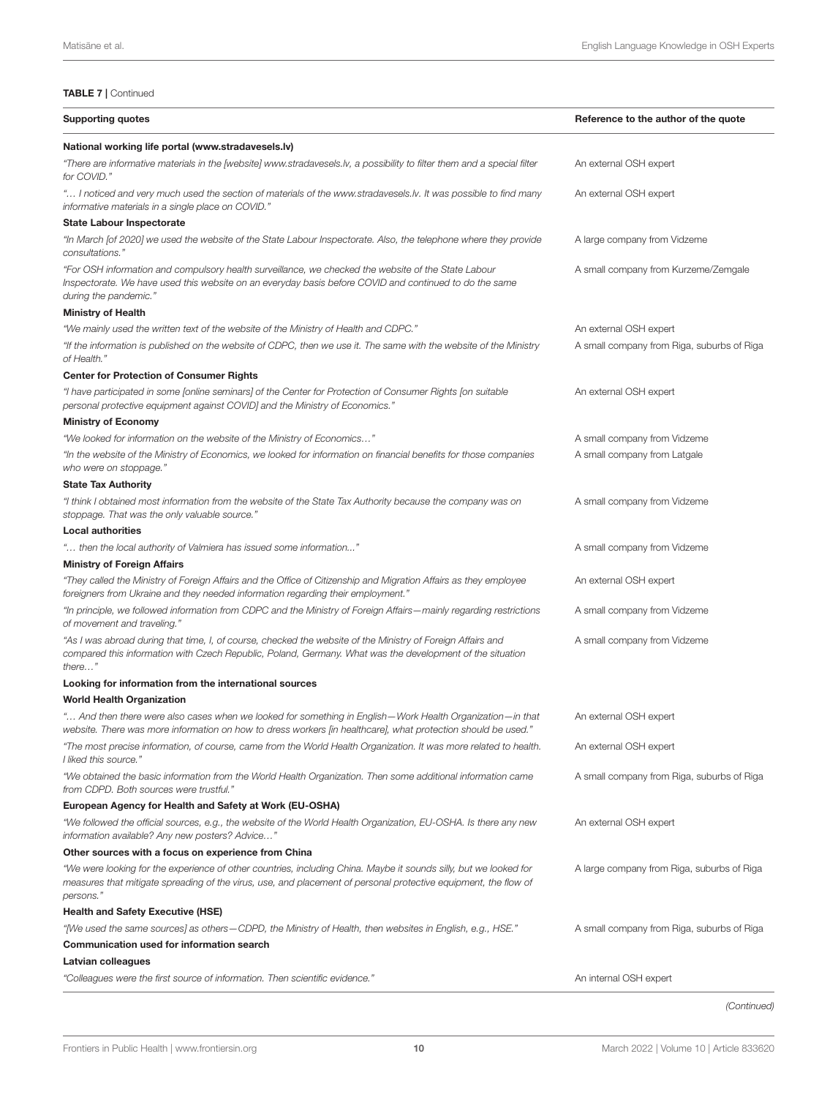| <b>Supporting quotes</b>                                                                                                                                                                                                                          | Reference to the author of the quote       |
|---------------------------------------------------------------------------------------------------------------------------------------------------------------------------------------------------------------------------------------------------|--------------------------------------------|
| National working life portal (www.stradavesels.lv)                                                                                                                                                                                                |                                            |
| "There are informative materials in the [website] www.stradavesels.lv, a possibility to filter them and a special filter<br>for COVID."                                                                                                           | An external OSH expert                     |
| " I noticed and very much used the section of materials of the www.stradavesels.lv. It was possible to find many<br>informative materials in a single place on COVID."                                                                            | An external OSH expert                     |
| <b>State Labour Inspectorate</b>                                                                                                                                                                                                                  |                                            |
| "In March [of 2020] we used the website of the State Labour Inspectorate. Also, the telephone where they provide<br>consultations."                                                                                                               | A large company from Vidzeme               |
| "For OSH information and compulsory health surveillance, we checked the website of the State Labour<br>Inspectorate. We have used this website on an everyday basis before COVID and continued to do the same<br>during the pandemic."            | A small company from Kurzeme/Zemgale       |
| <b>Ministry of Health</b>                                                                                                                                                                                                                         |                                            |
| "We mainly used the written text of the website of the Ministry of Health and CDPC."                                                                                                                                                              | An external OSH expert                     |
| "If the information is published on the website of CDPC, then we use it. The same with the website of the Ministry<br>of Health."                                                                                                                 | A small company from Riga, suburbs of Riga |
| <b>Center for Protection of Consumer Rights</b>                                                                                                                                                                                                   |                                            |
| "I have participated in some [online seminars] of the Center for Protection of Consumer Rights [on suitable<br>personal protective equipment against COVID] and the Ministry of Economics."                                                       | An external OSH expert                     |
| <b>Ministry of Economy</b>                                                                                                                                                                                                                        |                                            |
| "We looked for information on the website of the Ministry of Economics"                                                                                                                                                                           | A small company from Vidzeme               |
| "In the website of the Ministry of Economics, we looked for information on financial benefits for those companies<br>who were on stoppage."                                                                                                       | A small company from Latgale               |
| <b>State Tax Authority</b>                                                                                                                                                                                                                        |                                            |
| "I think I obtained most information from the website of the State Tax Authority because the company was on<br>stoppage. That was the only valuable source."                                                                                      | A small company from Vidzeme               |
| <b>Local authorities</b>                                                                                                                                                                                                                          |                                            |
| " then the local authority of Valmiera has issued some information"                                                                                                                                                                               | A small company from Vidzeme               |
| <b>Ministry of Foreign Affairs</b>                                                                                                                                                                                                                |                                            |
| "They called the Ministry of Foreign Affairs and the Office of Citizenship and Migration Affairs as they employee<br>foreigners from Ukraine and they needed information regarding their employment."                                             | An external OSH expert                     |
| "In principle, we followed information from CDPC and the Ministry of Foreign Affairs—mainly regarding restrictions<br>of movement and traveling."                                                                                                 | A small company from Vidzeme               |
| "As I was abroad during that time, I, of course, checked the website of the Ministry of Foreign Affairs and<br>compared this information with Czech Republic, Poland, Germany. What was the development of the situation<br>$there$ "             | A small company from Vidzeme               |
| Looking for information from the international sources                                                                                                                                                                                            |                                            |
| <b>World Health Organization</b>                                                                                                                                                                                                                  |                                            |
| And then there were also cases when we looked for something in English—Work Health Organization—in that: "<br>website. There was more information on how to dress workers [in healthcare], what protection should be used."                       | An external OSH expert                     |
| "The most precise information, of course, came from the World Health Organization. It was more related to health.<br>I liked this source."                                                                                                        | An external OSH expert                     |
| "We obtained the basic information from the World Health Organization. Then some additional information came<br>from CDPD. Both sources were trustful."                                                                                           | A small company from Riga, suburbs of Riga |
| European Agency for Health and Safety at Work (EU-OSHA)                                                                                                                                                                                           |                                            |
| "We followed the official sources, e.g., the website of the World Health Organization, EU-OSHA. Is there any new<br>information available? Any new posters? Advice"                                                                               | An external OSH expert                     |
| Other sources with a focus on experience from China                                                                                                                                                                                               |                                            |
| "We were looking for the experience of other countries, including China. Maybe it sounds silly, but we looked for<br>measures that mitigate spreading of the virus, use, and placement of personal protective equipment, the flow of<br>persons." | A large company from Riga, suburbs of Riga |
| <b>Health and Safety Executive (HSE)</b>                                                                                                                                                                                                          |                                            |
| "[We used the same sources] as others—CDPD, the Ministry of Health, then websites in English, e.g., HSE."                                                                                                                                         | A small company from Riga, suburbs of Riga |
| Communication used for information search                                                                                                                                                                                                         |                                            |
| Latvian colleagues                                                                                                                                                                                                                                |                                            |
| "Colleagues were the first source of information. Then scientific evidence."                                                                                                                                                                      | An internal OSH expert                     |
|                                                                                                                                                                                                                                                   |                                            |

(Continued)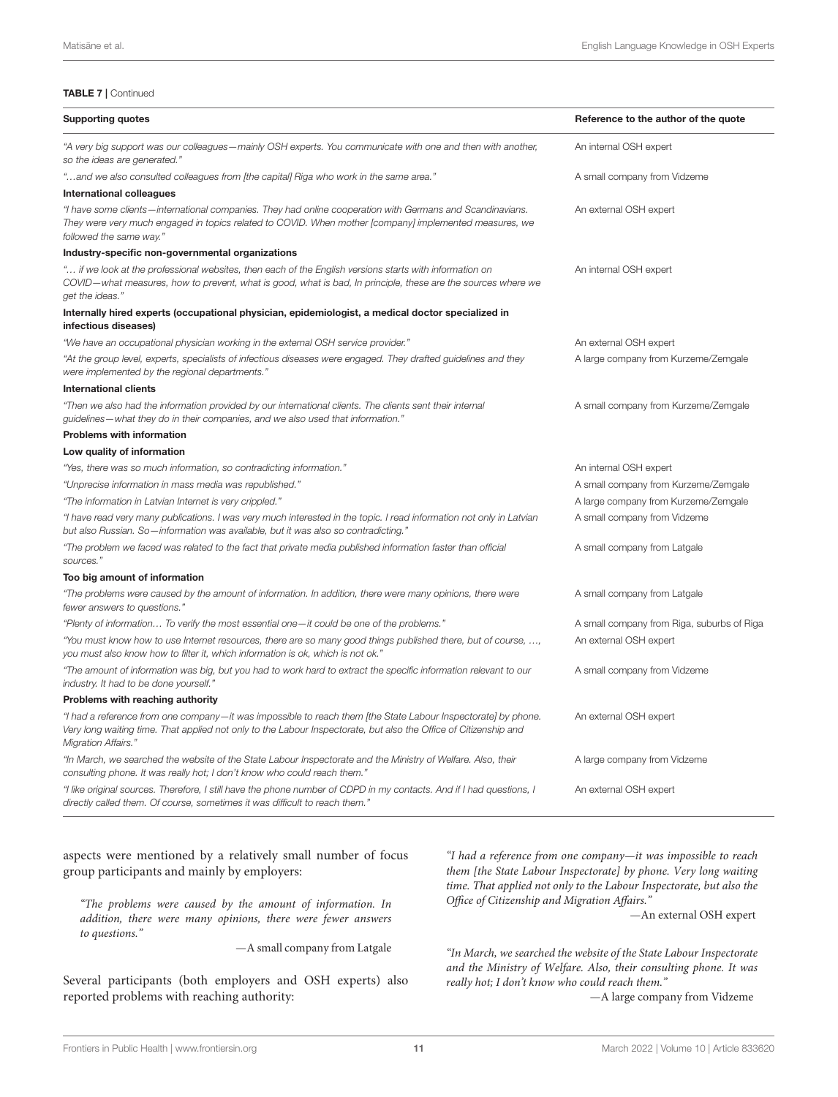#### TABLE 7 | Continued

| <b>Supporting quotes</b>                                                                                                                                                                                                                                        | Reference to the author of the quote       |
|-----------------------------------------------------------------------------------------------------------------------------------------------------------------------------------------------------------------------------------------------------------------|--------------------------------------------|
| "A very big support was our colleagues—mainly OSH experts. You communicate with one and then with another,<br>so the ideas are generated."                                                                                                                      | An internal OSH expert                     |
| "and we also consulted colleagues from [the capital] Riga who work in the same area."                                                                                                                                                                           | A small company from Vidzeme               |
| <b>International colleagues</b>                                                                                                                                                                                                                                 |                                            |
| "I have some clients—international companies. They had online cooperation with Germans and Scandinavians.<br>They were very much engaged in topics related to COVID. When mother [company] implemented measures, we<br>followed the same way."                  | An external OSH expert                     |
| Industry-specific non-governmental organizations                                                                                                                                                                                                                |                                            |
| u if we look at the professional websites, then each of the English versions starts with information on"<br>COVID—what measures, how to prevent, what is good, what is bad, In principle, these are the sources where we<br>get the ideas."                     | An internal OSH expert                     |
| Internally hired experts (occupational physician, epidemiologist, a medical doctor specialized in<br>infectious diseases)                                                                                                                                       |                                            |
| "We have an occupational physician working in the external OSH service provider."                                                                                                                                                                               | An external OSH expert                     |
| "At the group level, experts, specialists of infectious diseases were engaged. They drafted guidelines and they<br>were implemented by the regional departments."                                                                                               | A large company from Kurzeme/Zemgale       |
| <b>International clients</b>                                                                                                                                                                                                                                    |                                            |
| "Then we also had the information provided by our international clients. The clients sent their internal<br>guidelines-what they do in their companies, and we also used that information."                                                                     | A small company from Kurzeme/Zemgale       |
| <b>Problems with information</b>                                                                                                                                                                                                                                |                                            |
| Low quality of information                                                                                                                                                                                                                                      |                                            |
| "Yes, there was so much information, so contradicting information."                                                                                                                                                                                             | An internal OSH expert                     |
| "Unprecise information in mass media was republished."                                                                                                                                                                                                          | A small company from Kurzeme/Zemgale       |
| "The information in Latvian Internet is very crippled."                                                                                                                                                                                                         | A large company from Kurzeme/Zemgale       |
| "I have read very many publications. I was very much interested in the topic. I read information not only in Latvian<br>but also Russian. So—information was available, but it was also so contradicting."                                                      | A small company from Vidzeme               |
| "The problem we faced was related to the fact that private media published information faster than official<br>sources."                                                                                                                                        | A small company from Latgale               |
| Too big amount of information                                                                                                                                                                                                                                   |                                            |
| "The problems were caused by the amount of information. In addition, there were many opinions, there were<br>fewer answers to questions."                                                                                                                       | A small company from Latgale               |
| "Plenty of information To verify the most essential one-it could be one of the problems."                                                                                                                                                                       | A small company from Riga, suburbs of Riga |
| "You must know how to use Internet resources, there are so many good things published there, but of course, ,<br>you must also know how to filter it, which information is ok, which is not ok."                                                                | An external OSH expert                     |
| "The amount of information was big, but you had to work hard to extract the specific information relevant to our<br>industry. It had to be done yourself."                                                                                                      | A small company from Vidzeme               |
| Problems with reaching authority                                                                                                                                                                                                                                |                                            |
| "I had a reference from one company-it was impossible to reach them [the State Labour Inspectorate] by phone.<br>Very long waiting time. That applied not only to the Labour Inspectorate, but also the Office of Citizenship and<br><b>Migration Affairs."</b> | An external OSH expert                     |
| "In March, we searched the website of the State Labour Inspectorate and the Ministry of Welfare. Also, their<br>consulting phone. It was really hot; I don't know who could reach them."                                                                        | A large company from Vidzeme               |
| "I like original sources. Therefore, I still have the phone number of CDPD in my contacts. And if I had questions, I<br>directly called them. Of course, sometimes it was difficult to reach them."                                                             | An external OSH expert                     |

#### aspects were mentioned by a relatively small number of focus group participants and mainly by employers:

"The problems were caused by the amount of information. In addition, there were many opinions, there were fewer answers to questions."

—A small company from Latgale

Several participants (both employers and OSH experts) also reported problems with reaching authority:

"I had a reference from one company—it was impossible to reach them [the State Labour Inspectorate] by phone. Very long waiting time. That applied not only to the Labour Inspectorate, but also the Office of Citizenship and Migration Affairs."

—An external OSH expert

"In March, we searched the website of the State Labour Inspectorate and the Ministry of Welfare. Also, their consulting phone. It was really hot; I don't know who could reach them."

—A large company from Vidzeme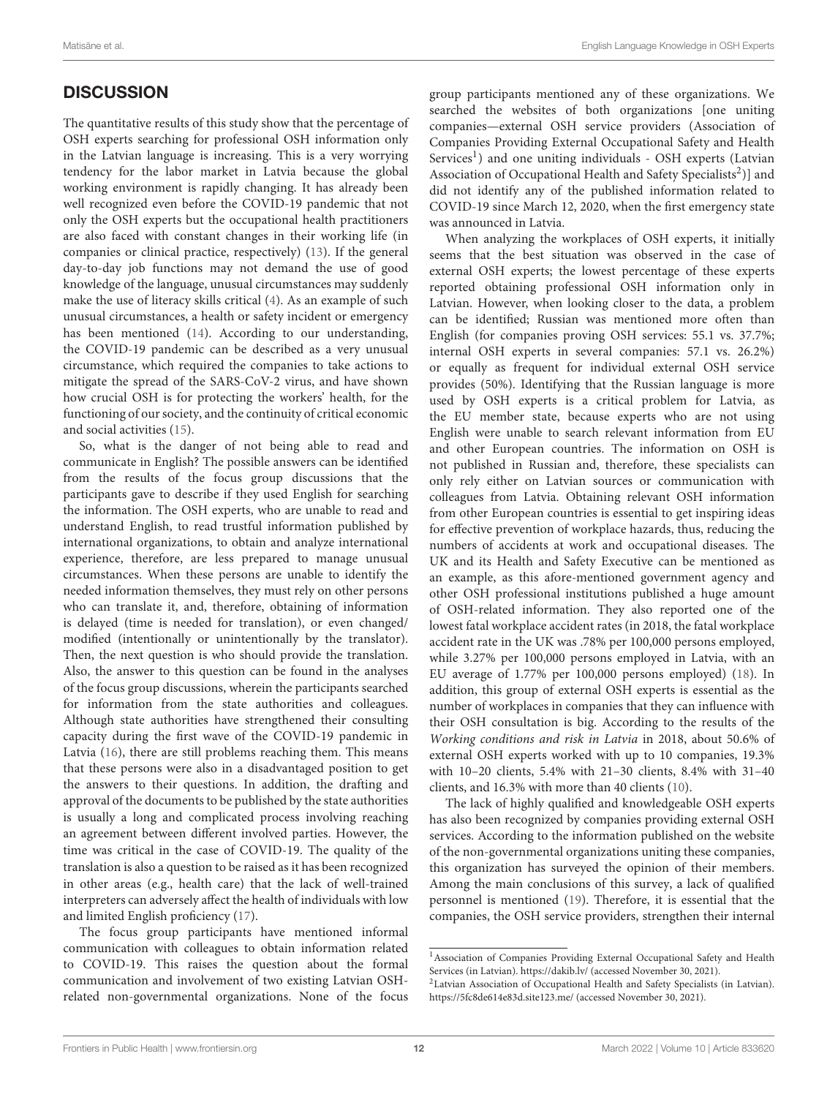# **DISCUSSION**

The quantitative results of this study show that the percentage of OSH experts searching for professional OSH information only in the Latvian language is increasing. This is a very worrying tendency for the labor market in Latvia because the global working environment is rapidly changing. It has already been well recognized even before the COVID-19 pandemic that not only the OSH experts but the occupational health practitioners are also faced with constant changes in their working life (in companies or clinical practice, respectively) [\(13\)](#page-14-7). If the general day-to-day job functions may not demand the use of good knowledge of the language, unusual circumstances may suddenly make the use of literacy skills critical [\(4\)](#page-13-3). As an example of such unusual circumstances, a health or safety incident or emergency has been mentioned [\(14\)](#page-14-8). According to our understanding, the COVID-19 pandemic can be described as a very unusual circumstance, which required the companies to take actions to mitigate the spread of the SARS-CoV-2 virus, and have shown how crucial OSH is for protecting the workers' health, for the functioning of our society, and the continuity of critical economic and social activities [\(15\)](#page-14-9).

So, what is the danger of not being able to read and communicate in English? The possible answers can be identified from the results of the focus group discussions that the participants gave to describe if they used English for searching the information. The OSH experts, who are unable to read and understand English, to read trustful information published by international organizations, to obtain and analyze international experience, therefore, are less prepared to manage unusual circumstances. When these persons are unable to identify the needed information themselves, they must rely on other persons who can translate it, and, therefore, obtaining of information is delayed (time is needed for translation), or even changed/ modified (intentionally or unintentionally by the translator). Then, the next question is who should provide the translation. Also, the answer to this question can be found in the analyses of the focus group discussions, wherein the participants searched for information from the state authorities and colleagues. Although state authorities have strengthened their consulting capacity during the first wave of the COVID-19 pandemic in Latvia [\(16\)](#page-14-10), there are still problems reaching them. This means that these persons were also in a disadvantaged position to get the answers to their questions. In addition, the drafting and approval of the documents to be published by the state authorities is usually a long and complicated process involving reaching an agreement between different involved parties. However, the time was critical in the case of COVID-19. The quality of the translation is also a question to be raised as it has been recognized in other areas (e.g., health care) that the lack of well-trained interpreters can adversely affect the health of individuals with low and limited English proficiency [\(17\)](#page-14-11).

The focus group participants have mentioned informal communication with colleagues to obtain information related to COVID-19. This raises the question about the formal communication and involvement of two existing Latvian OSHrelated non-governmental organizations. None of the focus group participants mentioned any of these organizations. We searched the websites of both organizations [one uniting companies—external OSH service providers (Association of Companies Providing External Occupational Safety and Health Services<sup>[1](#page-11-0)</sup>) and one uniting individuals - OSH experts (Latvian Association of Occupational Health and Safety Specialists<sup>[2](#page-11-1)</sup>)] and did not identify any of the published information related to COVID-19 since March 12, 2020, when the first emergency state was announced in Latvia.

When analyzing the workplaces of OSH experts, it initially seems that the best situation was observed in the case of external OSH experts; the lowest percentage of these experts reported obtaining professional OSH information only in Latvian. However, when looking closer to the data, a problem can be identified; Russian was mentioned more often than English (for companies proving OSH services: 55.1 vs. 37.7%; internal OSH experts in several companies: 57.1 vs. 26.2%) or equally as frequent for individual external OSH service provides (50%). Identifying that the Russian language is more used by OSH experts is a critical problem for Latvia, as the EU member state, because experts who are not using English were unable to search relevant information from EU and other European countries. The information on OSH is not published in Russian and, therefore, these specialists can only rely either on Latvian sources or communication with colleagues from Latvia. Obtaining relevant OSH information from other European countries is essential to get inspiring ideas for effective prevention of workplace hazards, thus, reducing the numbers of accidents at work and occupational diseases. The UK and its Health and Safety Executive can be mentioned as an example, as this afore-mentioned government agency and other OSH professional institutions published a huge amount of OSH-related information. They also reported one of the lowest fatal workplace accident rates (in 2018, the fatal workplace accident rate in the UK was .78% per 100,000 persons employed, while 3.27% per 100,000 persons employed in Latvia, with an EU average of 1.77% per 100,000 persons employed) [\(18\)](#page-14-12). In addition, this group of external OSH experts is essential as the number of workplaces in companies that they can influence with their OSH consultation is big. According to the results of the Working conditions and risk in Latvia in 2018, about 50.6% of external OSH experts worked with up to 10 companies, 19.3% with 10–20 clients, 5.4% with 21–30 clients, 8.4% with 31–40 clients, and 16.3% with more than 40 clients [\(10\)](#page-14-4).

The lack of highly qualified and knowledgeable OSH experts has also been recognized by companies providing external OSH services. According to the information published on the website of the non-governmental organizations uniting these companies, this organization has surveyed the opinion of their members. Among the main conclusions of this survey, a lack of qualified personnel is mentioned [\(19\)](#page-14-13). Therefore, it is essential that the companies, the OSH service providers, strengthen their internal

<span id="page-11-0"></span><sup>1</sup>Association of Companies Providing External Occupational Safety and Health Services (in Latvian).<https://dakib.lv/> (accessed November 30, 2021).

<span id="page-11-1"></span><sup>2</sup>Latvian Association of Occupational Health and Safety Specialists (in Latvian). <https://5fc8de614e83d.site123.me/> (accessed November 30, 2021).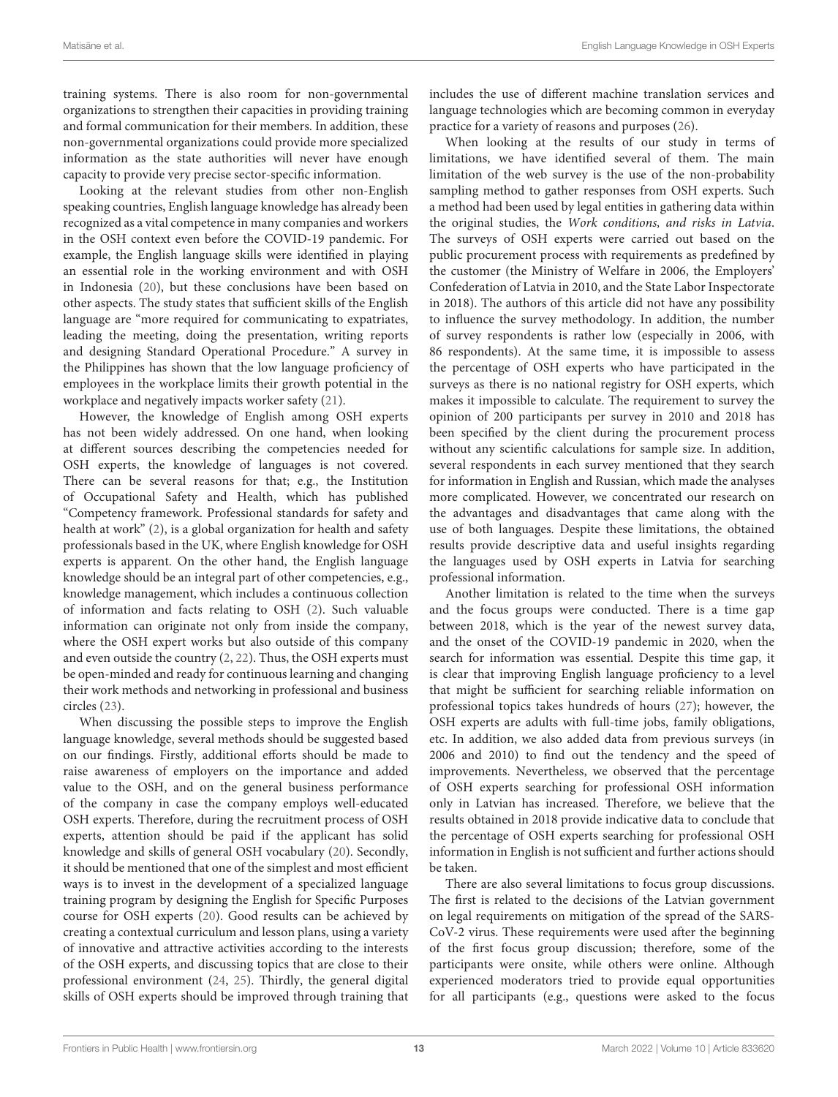training systems. There is also room for non-governmental organizations to strengthen their capacities in providing training and formal communication for their members. In addition, these non-governmental organizations could provide more specialized information as the state authorities will never have enough capacity to provide very precise sector-specific information.

Looking at the relevant studies from other non-English speaking countries, English language knowledge has already been recognized as a vital competence in many companies and workers in the OSH context even before the COVID-19 pandemic. For example, the English language skills were identified in playing an essential role in the working environment and with OSH in Indonesia [\(20\)](#page-14-14), but these conclusions have been based on other aspects. The study states that sufficient skills of the English language are "more required for communicating to expatriates, leading the meeting, doing the presentation, writing reports and designing Standard Operational Procedure." A survey in the Philippines has shown that the low language proficiency of employees in the workplace limits their growth potential in the workplace and negatively impacts worker safety [\(21\)](#page-14-15).

However, the knowledge of English among OSH experts has not been widely addressed. On one hand, when looking at different sources describing the competencies needed for OSH experts, the knowledge of languages is not covered. There can be several reasons for that; e.g., the Institution of Occupational Safety and Health, which has published "Competency framework. Professional standards for safety and health at work" [\(2\)](#page-13-1), is a global organization for health and safety professionals based in the UK, where English knowledge for OSH experts is apparent. On the other hand, the English language knowledge should be an integral part of other competencies, e.g., knowledge management, which includes a continuous collection of information and facts relating to OSH [\(2\)](#page-13-1). Such valuable information can originate not only from inside the company, where the OSH expert works but also outside of this company and even outside the country [\(2,](#page-13-1) [22\)](#page-14-16). Thus, the OSH experts must be open-minded and ready for continuous learning and changing their work methods and networking in professional and business circles [\(23\)](#page-14-17).

When discussing the possible steps to improve the English language knowledge, several methods should be suggested based on our findings. Firstly, additional efforts should be made to raise awareness of employers on the importance and added value to the OSH, and on the general business performance of the company in case the company employs well-educated OSH experts. Therefore, during the recruitment process of OSH experts, attention should be paid if the applicant has solid knowledge and skills of general OSH vocabulary [\(20\)](#page-14-14). Secondly, it should be mentioned that one of the simplest and most efficient ways is to invest in the development of a specialized language training program by designing the English for Specific Purposes course for OSH experts [\(20\)](#page-14-14). Good results can be achieved by creating a contextual curriculum and lesson plans, using a variety of innovative and attractive activities according to the interests of the OSH experts, and discussing topics that are close to their professional environment [\(24,](#page-14-18) [25\)](#page-14-19). Thirdly, the general digital skills of OSH experts should be improved through training that includes the use of different machine translation services and language technologies which are becoming common in everyday practice for a variety of reasons and purposes [\(26\)](#page-14-20).

When looking at the results of our study in terms of limitations, we have identified several of them. The main limitation of the web survey is the use of the non-probability sampling method to gather responses from OSH experts. Such a method had been used by legal entities in gathering data within the original studies, the Work conditions, and risks in Latvia. The surveys of OSH experts were carried out based on the public procurement process with requirements as predefined by the customer (the Ministry of Welfare in 2006, the Employers' Confederation of Latvia in 2010, and the State Labor Inspectorate in 2018). The authors of this article did not have any possibility to influence the survey methodology. In addition, the number of survey respondents is rather low (especially in 2006, with 86 respondents). At the same time, it is impossible to assess the percentage of OSH experts who have participated in the surveys as there is no national registry for OSH experts, which makes it impossible to calculate. The requirement to survey the opinion of 200 participants per survey in 2010 and 2018 has been specified by the client during the procurement process without any scientific calculations for sample size. In addition, several respondents in each survey mentioned that they search for information in English and Russian, which made the analyses more complicated. However, we concentrated our research on the advantages and disadvantages that came along with the use of both languages. Despite these limitations, the obtained results provide descriptive data and useful insights regarding the languages used by OSH experts in Latvia for searching professional information.

Another limitation is related to the time when the surveys and the focus groups were conducted. There is a time gap between 2018, which is the year of the newest survey data, and the onset of the COVID-19 pandemic in 2020, when the search for information was essential. Despite this time gap, it is clear that improving English language proficiency to a level that might be sufficient for searching reliable information on professional topics takes hundreds of hours [\(27\)](#page-14-21); however, the OSH experts are adults with full-time jobs, family obligations, etc. In addition, we also added data from previous surveys (in 2006 and 2010) to find out the tendency and the speed of improvements. Nevertheless, we observed that the percentage of OSH experts searching for professional OSH information only in Latvian has increased. Therefore, we believe that the results obtained in 2018 provide indicative data to conclude that the percentage of OSH experts searching for professional OSH information in English is not sufficient and further actions should be taken.

There are also several limitations to focus group discussions. The first is related to the decisions of the Latvian government on legal requirements on mitigation of the spread of the SARS-CoV-2 virus. These requirements were used after the beginning of the first focus group discussion; therefore, some of the participants were onsite, while others were online. Although experienced moderators tried to provide equal opportunities for all participants (e.g., questions were asked to the focus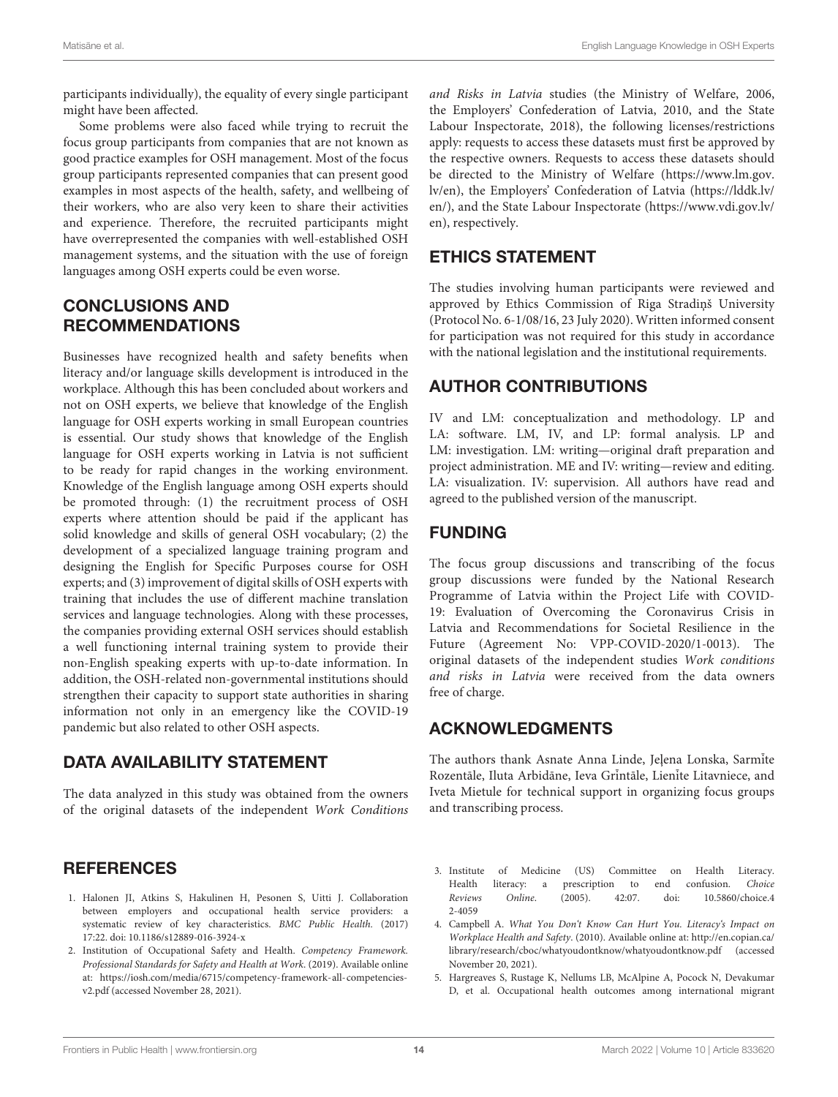participants individually), the equality of every single participant might have been affected.

Some problems were also faced while trying to recruit the focus group participants from companies that are not known as good practice examples for OSH management. Most of the focus group participants represented companies that can present good examples in most aspects of the health, safety, and wellbeing of their workers, who are also very keen to share their activities and experience. Therefore, the recruited participants might have overrepresented the companies with well-established OSH management systems, and the situation with the use of foreign languages among OSH experts could be even worse.

# CONCLUSIONS AND RECOMMENDATIONS

Businesses have recognized health and safety benefits when literacy and/or language skills development is introduced in the workplace. Although this has been concluded about workers and not on OSH experts, we believe that knowledge of the English language for OSH experts working in small European countries is essential. Our study shows that knowledge of the English language for OSH experts working in Latvia is not sufficient to be ready for rapid changes in the working environment. Knowledge of the English language among OSH experts should be promoted through: (1) the recruitment process of OSH experts where attention should be paid if the applicant has solid knowledge and skills of general OSH vocabulary; (2) the development of a specialized language training program and designing the English for Specific Purposes course for OSH experts; and (3) improvement of digital skills of OSH experts with training that includes the use of different machine translation services and language technologies. Along with these processes, the companies providing external OSH services should establish a well functioning internal training system to provide their non-English speaking experts with up-to-date information. In addition, the OSH-related non-governmental institutions should strengthen their capacity to support state authorities in sharing information not only in an emergency like the COVID-19 pandemic but also related to other OSH aspects.

# DATA AVAILABILITY STATEMENT

The data analyzed in this study was obtained from the owners of the original datasets of the independent Work Conditions

### **REFERENCES**

- <span id="page-13-0"></span>1. Halonen JI, Atkins S, Hakulinen H, Pesonen S, Uitti J. Collaboration between employers and occupational health service providers: a systematic review of key characteristics. BMC Public Health. (2017) 17:22. doi: [10.1186/s12889-016-3924-x](https://doi.org/10.1186/s12889-016-3924-x)
- <span id="page-13-1"></span>2. Institution of Occupational Safety and Health. Competency Framework. Professional Standards for Safety and Health at Work. (2019). Available online at: [https://iosh.com/media/6715/competency-framework-all-competencies](https://iosh.com/media/6715/competency-framework-all-competencies-v2.pdf)[v2.pdf](https://iosh.com/media/6715/competency-framework-all-competencies-v2.pdf) (accessed November 28, 2021).

and Risks in Latvia studies (the Ministry of Welfare, 2006, the Employers' Confederation of Latvia, 2010, and the State Labour Inspectorate, 2018), the following licenses/restrictions apply: requests to access these datasets must first be approved by the respective owners. Requests to access these datasets should be directed to the Ministry of Welfare [\(https://www.lm.gov.](https://www.lm.gov.lv/en) [lv/en\)](https://www.lm.gov.lv/en), the Employers' Confederation of Latvia [\(https://lddk.lv/](https://lddk.lv/en/) [en/\)](https://lddk.lv/en/), and the State Labour Inspectorate [\(https://www.vdi.gov.lv/](https://www.vdi.gov.lv/en) [en\)](https://www.vdi.gov.lv/en), respectively.

# ETHICS STATEMENT

The studies involving human participants were reviewed and approved by Ethics Commission of Riga Stradinš University (Protocol No. 6-1/08/16, 23 July 2020). Written informed consent for participation was not required for this study in accordance with the national legislation and the institutional requirements.

# AUTHOR CONTRIBUTIONS

IV and LM: conceptualization and methodology. LP and LA: software. LM, IV, and LP: formal analysis. LP and LM: investigation. LM: writing—original draft preparation and project administration. ME and IV: writing—review and editing. LA: visualization. IV: supervision. All authors have read and agreed to the published version of the manuscript.

# FUNDING

The focus group discussions and transcribing of the focus group discussions were funded by the National Research Programme of Latvia within the Project Life with COVID-19: Evaluation of Overcoming the Coronavirus Crisis in Latvia and Recommendations for Societal Resilience in the Future (Agreement No: VPP-COVID-2020/1-0013). The original datasets of the independent studies Work conditions and risks in Latvia were received from the data owners free of charge.

# ACKNOWLEDGMENTS

The authors thank Asnate Anna Linde, Jelena Lonska, Sarmite Rozentāle, Iluta Arbidāne, Ieva Grīntāle, Lienīte Litavniece, and Iveta Mietule for technical support in organizing focus groups and transcribing process.

- <span id="page-13-2"></span>3. Institute of Medicine (US) Committee on Health Literacy. Health literacy: a prescription to end confusion. Choice Reviews Online[. \(2005\). 42:07. doi: 10.5860/choice.4](https://doi.org/10.5860/choice.42-4059) 2-4059
- <span id="page-13-3"></span>4. Campbell A. What You Don't Know Can Hurt You. Literacy's Impact on Workplace Health and Safety. (2010). Available online at: [http://en.copian.ca/](http://en.copian.ca/library/research/cboc/whatyoudontknow/whatyoudontknow.pdf) [library/research/cboc/whatyoudontknow/whatyoudontknow.pdf](http://en.copian.ca/library/research/cboc/whatyoudontknow/whatyoudontknow.pdf) (accessed November 20, 2021).
- <span id="page-13-4"></span>5. Hargreaves S, Rustage K, Nellums LB, McAlpine A, Pocock N, Devakumar D, et al. Occupational health outcomes among international migrant